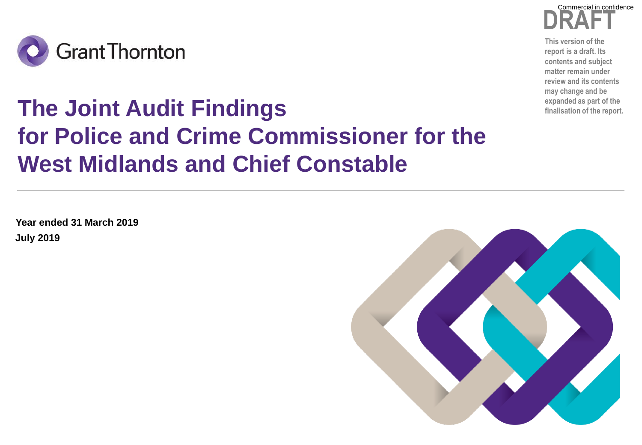

### **DRAFT** Commercial in confidence

**This version of the report is a draft. Its contents and subject matter remain under review and its contents may change and be** 

# **The Joint Audit Findings for Police and Crime Commissioner for the West Midlands and Chief Constable**

**July 2019 Year ended 31 March 2019**

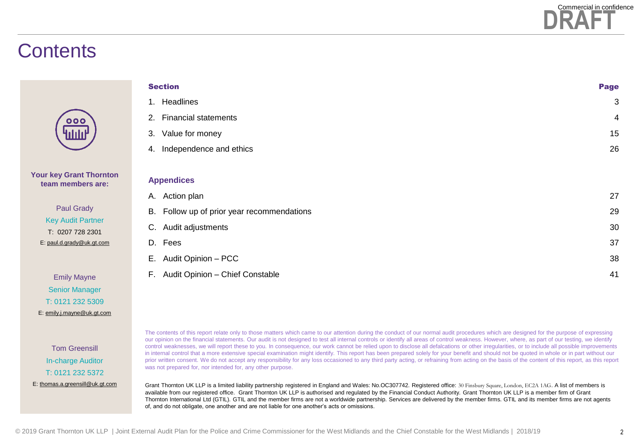

### **Contents**

| <b>Section</b>                             | <b>Page</b>    |
|--------------------------------------------|----------------|
| Headlines<br>1.                            | 3              |
| <b>Financial statements</b><br>2.          | $\overline{4}$ |
| Value for money<br>3.                      | 15             |
| Independence and ethics<br>4.              | 26             |
|                                            |                |
| <b>Appendices</b>                          |                |
| Action plan<br>А.                          | 27             |
| B. Follow up of prior year recommendations | 29             |
| C. Audit adjustments                       | 30             |
| D. Fees                                    | 37             |
| Audit Opinion - PCC<br>Е.                  | 38             |
| Audit Opinion - Chief Constable<br>F.      | 41             |

Tom Greensill In-charge Auditor T: 0121 232 5372 E: [thomas.a.greensill@uk.gt.com](mailto:thomas.a.greensill@uk.gt.com)

**Your key Grant Thornton team members are:**

> Paul Grady Key Audit Partner T: 0207 728 2301 E: [paul.d.grady@uk.gt.com](mailto:paul.d.grady@uk.gt.com)

Emily Mayne Senior Manager T: 0121 232 5309 E: [emily.j.mayne@uk.gt.com](mailto:emily.j.mayne@uk.gt.com)

> The contents of this report relate only to those matters which came to our attention during the conduct of our normal audit procedures which are designed for the purpose of expressing our opinion on the financial statements. Our audit is not designed to test all internal controls or identify all areas of control weakness. However, where, as part of our testing, we identify control weaknesses, we will report these to you. In consequence, our work cannot be relied upon to disclose all defalcations or other irregularities, or to include all possible improvements in internal control that a more extensive special examination might identify. This report has been prepared solely for your benefit and should not be quoted in whole or in part without our prior written consent. We do not accept any responsibility for any loss occasioned to any third party acting, or refraining from acting on the basis of the content of this report, as this report was not prepared for, nor intended for, any other purpose.

Grant Thornton UK LLP is a limited liability partnership registered in England and Wales: No.OC307742. Registered office: 30 Finsbury Square, London, EC2A 1AG. A list of members is available from our registered office. Grant Thornton UK LLP is authorised and regulated by the Financial Conduct Authority. Grant Thornton UK LLP is a member firm of Grant Thornton International Ltd (GTIL). GTIL and the member firms are not a worldwide partnership. Services are delivered by the member firms. GTIL and its member firms are not agents of, and do not obligate, one another and are not liable for one another's acts or omissions.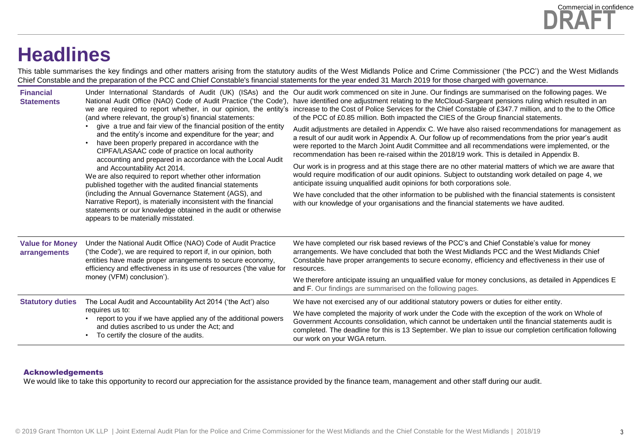### **Headlines**

This table summarises the key findings and other matters arising from the statutory audits of the West Midlands Police and Crime Commissioner ('the PCC') and the West Midlands Chief Constable and the preparation of the PCC and Chief Constable's financial statements for the year ended 31 March 2019 for those charged with governance.

| <b>Financial</b><br><b>Statements</b>  | National Audit Office (NAO) Code of Audit Practice ('the Code'),<br>we are required to report whether, in our opinion, the entity's<br>(and where relevant, the group's) financial statements:                                                                                                                                                                                                                                                                                                                                                                                                                                                                                                       | Under International Standards of Audit (UK) (ISAs) and the Our audit work commenced on site in June. Our findings are summarised on the following pages. We<br>have identified one adjustment relating to the McCloud-Sargeant pensions ruling which resulted in an<br>increase to the Cost of Police Services for the Chief Constable of £347.7 million, and to the to the Office<br>of the PCC of £0.85 million. Both impacted the CIES of the Group financial statements. |
|----------------------------------------|------------------------------------------------------------------------------------------------------------------------------------------------------------------------------------------------------------------------------------------------------------------------------------------------------------------------------------------------------------------------------------------------------------------------------------------------------------------------------------------------------------------------------------------------------------------------------------------------------------------------------------------------------------------------------------------------------|------------------------------------------------------------------------------------------------------------------------------------------------------------------------------------------------------------------------------------------------------------------------------------------------------------------------------------------------------------------------------------------------------------------------------------------------------------------------------|
|                                        | give a true and fair view of the financial position of the entity<br>and the entity's income and expenditure for the year; and<br>have been properly prepared in accordance with the<br>CIPFA/LASAAC code of practice on local authority<br>accounting and prepared in accordance with the Local Audit<br>and Accountability Act 2014.<br>We are also required to report whether other information<br>published together with the audited financial statements<br>(including the Annual Governance Statement (AGS), and<br>Narrative Report), is materially inconsistent with the financial<br>statements or our knowledge obtained in the audit or otherwise<br>appears to be materially misstated. | Audit adjustments are detailed in Appendix C. We have also raised recommendations for management as<br>a result of our audit work in Appendix A. Our follow up of recommendations from the prior year's audit<br>were reported to the March Joint Audit Committee and all recommendations were implemented, or the<br>recommendation has been re-raised within the 2018/19 work. This is detailed in Appendix B.                                                             |
|                                        |                                                                                                                                                                                                                                                                                                                                                                                                                                                                                                                                                                                                                                                                                                      | Our work is in progress and at this stage there are no other material matters of which we are aware that<br>would require modification of our audit opinions. Subject to outstanding work detailed on page 4, we<br>anticipate issuing unqualified audit opinions for both corporations sole.                                                                                                                                                                                |
|                                        |                                                                                                                                                                                                                                                                                                                                                                                                                                                                                                                                                                                                                                                                                                      | We have concluded that the other information to be published with the financial statements is consistent<br>with our knowledge of your organisations and the financial statements we have audited.                                                                                                                                                                                                                                                                           |
| <b>Value for Money</b><br>arrangements | Under the National Audit Office (NAO) Code of Audit Practice<br>('the Code'), we are required to report if, in our opinion, both<br>entities have made proper arrangements to secure economy,<br>efficiency and effectiveness in its use of resources ('the value for<br>money (VFM) conclusion').                                                                                                                                                                                                                                                                                                                                                                                                   | We have completed our risk based reviews of the PCC's and Chief Constable's value for money<br>arrangements. We have concluded that both the West Midlands PCC and the West Midlands Chief<br>Constable have proper arrangements to secure economy, efficiency and effectiveness in their use of<br>resources.                                                                                                                                                               |
|                                        |                                                                                                                                                                                                                                                                                                                                                                                                                                                                                                                                                                                                                                                                                                      | We therefore anticipate issuing an unqualified value for money conclusions, as detailed in Appendices E<br>and F. Our findings are summarised on the following pages.                                                                                                                                                                                                                                                                                                        |
| <b>Statutory duties</b>                | The Local Audit and Accountability Act 2014 ('the Act') also                                                                                                                                                                                                                                                                                                                                                                                                                                                                                                                                                                                                                                         | We have not exercised any of our additional statutory powers or duties for either entity.                                                                                                                                                                                                                                                                                                                                                                                    |
|                                        | requires us to:<br>report to you if we have applied any of the additional powers<br>and duties ascribed to us under the Act; and<br>To certify the closure of the audits.                                                                                                                                                                                                                                                                                                                                                                                                                                                                                                                            | We have completed the majority of work under the Code with the exception of the work on Whole of<br>Government Accounts consolidation, which cannot be undertaken until the financial statements audit is<br>completed. The deadline for this is 13 September. We plan to issue our completion certification following<br>our work on your WGA return.                                                                                                                       |

#### Acknowledgements

We would like to take this opportunity to record our appreciation for the assistance provided by the finance team, management and other staff during our audit.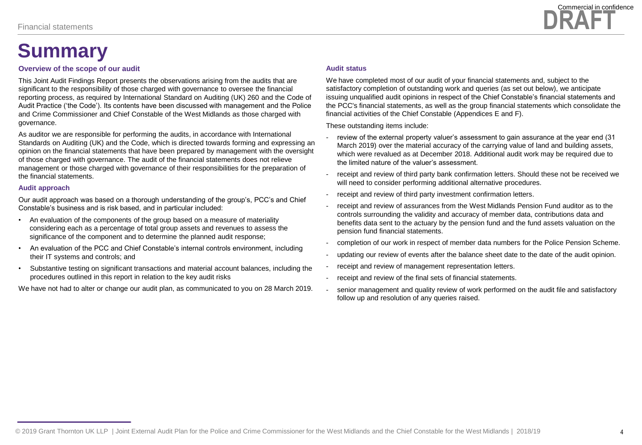## **Summary**

#### **Overview of the scope of our audit**

This Joint Audit Findings Report presents the observations arising from the audits that are significant to the responsibility of those charged with governance to oversee the financial reporting process, as required by International Standard on Auditing (UK) 260 and the Code of Audit Practice ('the Code'). Its contents have been discussed with management and the Police and Crime Commissioner and Chief Constable of the West Midlands as those charged with governance.

As auditor we are responsible for performing the audits, in accordance with International Standards on Auditing (UK) and the Code, which is directed towards forming and expressing an opinion on the financial statements that have been prepared by management with the oversight of those charged with governance. The audit of the financial statements does not relieve management or those charged with governance of their responsibilities for the preparation of the financial statements.

#### **Audit approach**

Our audit approach was based on a thorough understanding of the group's, PCC's and Chief Constable's business and is risk based, and in particular included:

- An evaluation of the components of the group based on a measure of materiality considering each as a percentage of total group assets and revenues to assess the significance of the component and to determine the planned audit response;
- An evaluation of the PCC and Chief Constable's internal controls environment, including their IT systems and controls; and
- Substantive testing on significant transactions and material account balances, including the procedures outlined in this report in relation to the key audit risks

We have not had to alter or change our audit plan, as communicated to you on 28 March 2019.

#### **Audit status**

We have completed most of our audit of your financial statements and, subject to the satisfactory completion of outstanding work and queries (as set out below), we anticipate issuing unqualified audit opinions in respect of the Chief Constable's financial statements and the PCC's financial statements, as well as the group financial statements which consolidate the financial activities of the Chief Constable (Appendices E and F).

These outstanding items include:

- review of the external property valuer's assessment to gain assurance at the year end (31 March 2019) over the material accuracy of the carrying value of land and building assets, which were revalued as at December 2018. Additional audit work may be required due to the limited nature of the valuer's assessment.
- receipt and review of third party bank confirmation letters. Should these not be received we will need to consider performing additional alternative procedures.
- receipt and review of third party investment confirmation letters.
- receipt and review of assurances from the West Midlands Pension Fund auditor as to the controls surrounding the validity and accuracy of member data, contributions data and benefits data sent to the actuary by the pension fund and the fund assets valuation on the pension fund financial statements.
- completion of our work in respect of member data numbers for the Police Pension Scheme.
- updating our review of events after the balance sheet date to the date of the audit opinion.
- receipt and review of management representation letters.
- receipt and review of the final sets of financial statements.
- senior management and quality review of work performed on the audit file and satisfactory follow up and resolution of any queries raised.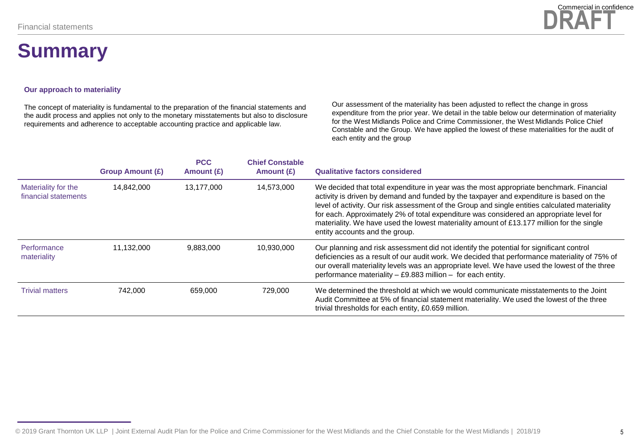### **Summary**

### **DRAFT** Commercial in confidence

#### **Our approach to materiality**

The concept of materiality is fundamental to the preparation of the financial statements and the audit process and applies not only to the monetary misstatements but also to disclosure requirements and adherence to acceptable accounting practice and applicable law.

Our assessment of the materiality has been adjusted to reflect the change in gross expenditure from the prior year. We detail in the table below our determination of materiality for the West Midlands Police and Crime Commissioner, the West Midlands Police Chief Constable and the Group. We have applied the lowest of these materialities for the audit of each entity and the group

|                                             | <b>Group Amount (£)</b> | <b>PCC</b><br>Amount (£) | <b>Chief Constable</b><br>Amount $(E)$ | <b>Qualitative factors considered</b>                                                                                                                                                                                                                                                                                                                                                                                                                                                                          |
|---------------------------------------------|-------------------------|--------------------------|----------------------------------------|----------------------------------------------------------------------------------------------------------------------------------------------------------------------------------------------------------------------------------------------------------------------------------------------------------------------------------------------------------------------------------------------------------------------------------------------------------------------------------------------------------------|
| Materiality for the<br>financial statements | 14,842,000              | 13,177,000               | 14,573,000                             | We decided that total expenditure in year was the most appropriate benchmark. Financial<br>activity is driven by demand and funded by the taxpayer and expenditure is based on the<br>level of activity. Our risk assessment of the Group and single entities calculated materiality<br>for each. Approximately 2% of total expenditure was considered an appropriate level for<br>materiality. We have used the lowest materiality amount of £13.177 million for the single<br>entity accounts and the group. |
| Performance<br>materiality                  | 11.132.000              | 9.883.000                | 10.930.000                             | Our planning and risk assessment did not identify the potential for significant control<br>deficiencies as a result of our audit work. We decided that performance materiality of 75% of<br>our overall materiality levels was an appropriate level. We have used the lowest of the three<br>performance materiality - £9.883 million - for each entity.                                                                                                                                                       |
| <b>Trivial matters</b>                      | 742,000                 | 659.000                  | 729.000                                | We determined the threshold at which we would communicate misstatements to the Joint<br>Audit Committee at 5% of financial statement materiality. We used the lowest of the three<br>trivial thresholds for each entity, £0.659 million.                                                                                                                                                                                                                                                                       |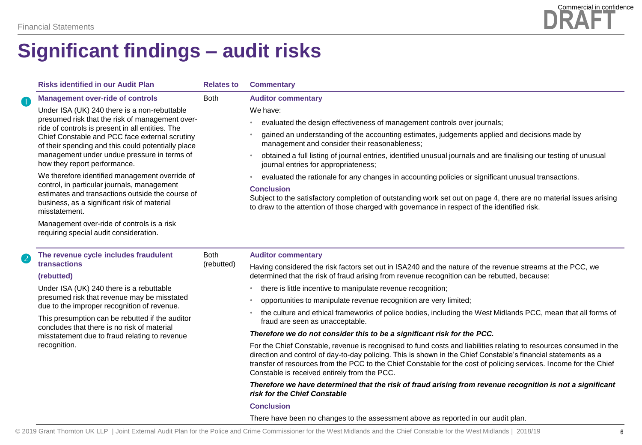

|   | <b>Risks identified in our Audit Plan</b><br><b>Relates to</b>                                                                                                                                                                                              |                           | <b>Commentary</b>                                                                                                                                                                                                                                                                                                                                                                                         |
|---|-------------------------------------------------------------------------------------------------------------------------------------------------------------------------------------------------------------------------------------------------------------|---------------------------|-----------------------------------------------------------------------------------------------------------------------------------------------------------------------------------------------------------------------------------------------------------------------------------------------------------------------------------------------------------------------------------------------------------|
| O | <b>Management over-ride of controls</b>                                                                                                                                                                                                                     | <b>Both</b>               | <b>Auditor commentary</b>                                                                                                                                                                                                                                                                                                                                                                                 |
|   | Under ISA (UK) 240 there is a non-rebuttable<br>presumed risk that the risk of management over-<br>ride of controls is present in all entities. The<br>Chief Constable and PCC face external scrutiny<br>of their spending and this could potentially place |                           | We have:                                                                                                                                                                                                                                                                                                                                                                                                  |
|   |                                                                                                                                                                                                                                                             |                           | evaluated the design effectiveness of management controls over journals;                                                                                                                                                                                                                                                                                                                                  |
|   |                                                                                                                                                                                                                                                             |                           | gained an understanding of the accounting estimates, judgements applied and decisions made by<br>management and consider their reasonableness;                                                                                                                                                                                                                                                            |
|   | management under undue pressure in terms of<br>how they report performance.                                                                                                                                                                                 |                           | obtained a full listing of journal entries, identified unusual journals and are finalising our testing of unusual<br>$\bullet$<br>journal entries for appropriateness;                                                                                                                                                                                                                                    |
|   | We therefore identified management override of                                                                                                                                                                                                              |                           | evaluated the rationale for any changes in accounting policies or significant unusual transactions.<br>$\bullet$                                                                                                                                                                                                                                                                                          |
|   | control, in particular journals, management<br>estimates and transactions outside the course of<br>business, as a significant risk of material<br>misstatement.                                                                                             |                           | <b>Conclusion</b><br>Subject to the satisfactory completion of outstanding work set out on page 4, there are no material issues arising<br>to draw to the attention of those charged with governance in respect of the identified risk.                                                                                                                                                                   |
|   | Management over-ride of controls is a risk<br>requiring special audit consideration.                                                                                                                                                                        |                           |                                                                                                                                                                                                                                                                                                                                                                                                           |
| 2 | The revenue cycle includes fraudulent                                                                                                                                                                                                                       | <b>Both</b><br>(rebutted) | <b>Auditor commentary</b>                                                                                                                                                                                                                                                                                                                                                                                 |
|   | transactions<br>(rebutted)                                                                                                                                                                                                                                  |                           | Having considered the risk factors set out in ISA240 and the nature of the revenue streams at the PCC, we<br>determined that the risk of fraud arising from revenue recognition can be rebutted, because:                                                                                                                                                                                                 |
|   | Under ISA (UK) 240 there is a rebuttable<br>presumed risk that revenue may be misstated<br>due to the improper recognition of revenue.                                                                                                                      |                           | there is little incentive to manipulate revenue recognition;<br>$\bullet$                                                                                                                                                                                                                                                                                                                                 |
|   |                                                                                                                                                                                                                                                             |                           | opportunities to manipulate revenue recognition are very limited;<br>$\bullet$                                                                                                                                                                                                                                                                                                                            |
|   | This presumption can be rebutted if the auditor<br>concludes that there is no risk of material                                                                                                                                                              |                           | the culture and ethical frameworks of police bodies, including the West Midlands PCC, mean that all forms of<br>$\bullet$<br>fraud are seen as unacceptable.                                                                                                                                                                                                                                              |
|   | misstatement due to fraud relating to revenue                                                                                                                                                                                                               |                           | Therefore we do not consider this to be a significant risk for the PCC.                                                                                                                                                                                                                                                                                                                                   |
|   | recognition.                                                                                                                                                                                                                                                |                           | For the Chief Constable, revenue is recognised to fund costs and liabilities relating to resources consumed in the<br>direction and control of day-to-day policing. This is shown in the Chief Constable's financial statements as a<br>transfer of resources from the PCC to the Chief Constable for the cost of policing services. Income for the Chief<br>Constable is received entirely from the PCC. |
|   |                                                                                                                                                                                                                                                             |                           | Therefore we have determined that the risk of fraud arising from revenue recognition is not a significant<br>risk for the Chief Constable                                                                                                                                                                                                                                                                 |
|   |                                                                                                                                                                                                                                                             |                           | <b>Conclusion</b>                                                                                                                                                                                                                                                                                                                                                                                         |

There have been no changes to the assessment above as reported in our audit plan.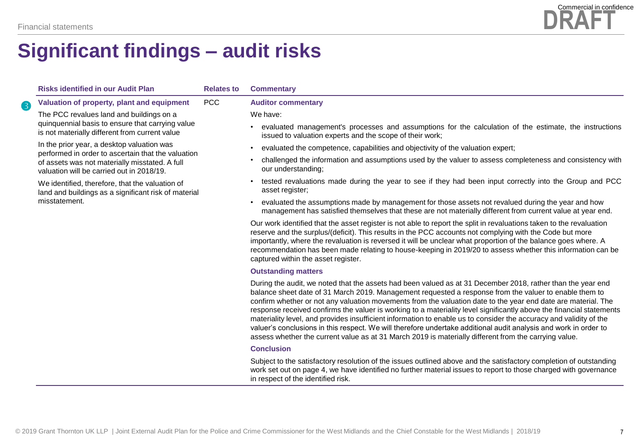

|   | <b>Risks identified in our Audit Plan</b>                                                                                                                                                                                                                    | <b>Relates to</b> | <b>Commentary</b>                                                                                                                                                                                                                                                                                                                                                                                                                                                                                                                                                                                                                                                                                        |
|---|--------------------------------------------------------------------------------------------------------------------------------------------------------------------------------------------------------------------------------------------------------------|-------------------|----------------------------------------------------------------------------------------------------------------------------------------------------------------------------------------------------------------------------------------------------------------------------------------------------------------------------------------------------------------------------------------------------------------------------------------------------------------------------------------------------------------------------------------------------------------------------------------------------------------------------------------------------------------------------------------------------------|
| 8 | Valuation of property, plant and equipment                                                                                                                                                                                                                   | <b>PCC</b>        | <b>Auditor commentary</b>                                                                                                                                                                                                                                                                                                                                                                                                                                                                                                                                                                                                                                                                                |
|   | The PCC revalues land and buildings on a                                                                                                                                                                                                                     |                   | We have:                                                                                                                                                                                                                                                                                                                                                                                                                                                                                                                                                                                                                                                                                                 |
|   | quinquennial basis to ensure that carrying value<br>is not materially different from current value                                                                                                                                                           |                   | evaluated management's processes and assumptions for the calculation of the estimate, the instructions<br>$\bullet$<br>issued to valuation experts and the scope of their work;                                                                                                                                                                                                                                                                                                                                                                                                                                                                                                                          |
|   | In the prior year, a desktop valuation was                                                                                                                                                                                                                   |                   | evaluated the competence, capabilities and objectivity of the valuation expert;<br>$\bullet$                                                                                                                                                                                                                                                                                                                                                                                                                                                                                                                                                                                                             |
|   | performed in order to ascertain that the valuation<br>of assets was not materially misstated. A full<br>valuation will be carried out in 2018/19.<br>We identified, therefore, that the valuation of<br>land and buildings as a significant risk of material |                   | challenged the information and assumptions used by the valuer to assess completeness and consistency with<br>$\bullet$<br>our understanding;                                                                                                                                                                                                                                                                                                                                                                                                                                                                                                                                                             |
|   |                                                                                                                                                                                                                                                              |                   | tested revaluations made during the year to see if they had been input correctly into the Group and PCC<br>$\bullet$<br>asset register;                                                                                                                                                                                                                                                                                                                                                                                                                                                                                                                                                                  |
|   | misstatement.                                                                                                                                                                                                                                                |                   | evaluated the assumptions made by management for those assets not revalued during the year and how<br>٠<br>management has satisfied themselves that these are not materially different from current value at year end.                                                                                                                                                                                                                                                                                                                                                                                                                                                                                   |
|   |                                                                                                                                                                                                                                                              |                   | Our work identified that the asset register is not able to report the split in revaluations taken to the revaluation<br>reserve and the surplus/(deficit). This results in the PCC accounts not complying with the Code but more<br>importantly, where the revaluation is reversed it will be unclear what proportion of the balance goes where. A<br>recommendation has been made relating to house-keeping in 2019/20 to assess whether this information can be<br>captured within the asset register.                                                                                                                                                                                                 |
|   |                                                                                                                                                                                                                                                              |                   | <b>Outstanding matters</b>                                                                                                                                                                                                                                                                                                                                                                                                                                                                                                                                                                                                                                                                               |
|   |                                                                                                                                                                                                                                                              |                   | During the audit, we noted that the assets had been valued as at 31 December 2018, rather than the year end<br>balance sheet date of 31 March 2019. Management requested a response from the valuer to enable them to<br>confirm whether or not any valuation movements from the valuation date to the year end date are material. The<br>response received confirms the valuer is working to a materiality level significantly above the financial statements<br>materiality level, and provides insufficient information to enable us to consider the accuracy and validity of the<br>valuer's conclusions in this respect. We will therefore undertake additional audit analysis and work in order to |

#### assess whether the current value as at 31 March 2019 is materially different from the carrying value. **Conclusion**

Subject to the satisfactory resolution of the issues outlined above and the satisfactory completion of outstanding work set out on page 4, we have identified no further material issues to report to those charged with governance in respect of the identified risk.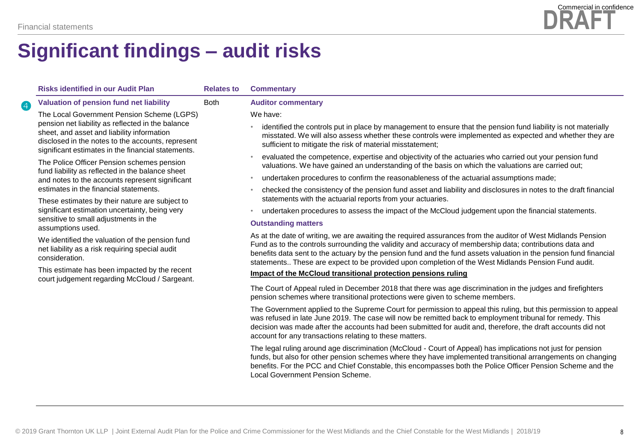

|   | <b>Risks identified in our Audit Plan</b>                                                                                                                                                                  | <b>Relates to</b> | <b>Commentary</b>                                                                                                                                                                                                                                                                                                                                                                                                                                    |
|---|------------------------------------------------------------------------------------------------------------------------------------------------------------------------------------------------------------|-------------------|------------------------------------------------------------------------------------------------------------------------------------------------------------------------------------------------------------------------------------------------------------------------------------------------------------------------------------------------------------------------------------------------------------------------------------------------------|
| 4 | Valuation of pension fund net liability                                                                                                                                                                    | <b>Both</b>       | <b>Auditor commentary</b>                                                                                                                                                                                                                                                                                                                                                                                                                            |
|   | The Local Government Pension Scheme (LGPS)                                                                                                                                                                 |                   | We have:                                                                                                                                                                                                                                                                                                                                                                                                                                             |
|   | pension net liability as reflected in the balance<br>sheet, and asset and liability information<br>disclosed in the notes to the accounts, represent<br>significant estimates in the financial statements. |                   | identified the controls put in place by management to ensure that the pension fund liability is not materially<br>misstated. We will also assess whether these controls were implemented as expected and whether they are<br>sufficient to mitigate the risk of material misstatement;                                                                                                                                                               |
|   | The Police Officer Pension schemes pension<br>fund liability as reflected in the balance sheet                                                                                                             |                   | evaluated the competence, expertise and objectivity of the actuaries who carried out your pension fund<br>valuations. We have gained an understanding of the basis on which the valuations are carried out;                                                                                                                                                                                                                                          |
|   | and notes to the accounts represent significant                                                                                                                                                            |                   | undertaken procedures to confirm the reasonableness of the actuarial assumptions made;                                                                                                                                                                                                                                                                                                                                                               |
|   | estimates in the financial statements.<br>These estimates by their nature are subject to                                                                                                                   |                   | checked the consistency of the pension fund asset and liability and disclosures in notes to the draft financial<br>statements with the actuarial reports from your actuaries.                                                                                                                                                                                                                                                                        |
|   | significant estimation uncertainty, being very                                                                                                                                                             |                   | undertaken procedures to assess the impact of the McCloud judgement upon the financial statements.<br>$\bullet$                                                                                                                                                                                                                                                                                                                                      |
|   | sensitive to small adjustments in the<br>assumptions used.                                                                                                                                                 |                   | <b>Outstanding matters</b>                                                                                                                                                                                                                                                                                                                                                                                                                           |
|   | We identified the valuation of the pension fund<br>net liability as a risk requiring special audit<br>consideration.                                                                                       |                   | As at the date of writing, we are awaiting the required assurances from the auditor of West Midlands Pension<br>Fund as to the controls surrounding the validity and accuracy of membership data; contributions data and<br>benefits data sent to the actuary by the pension fund and the fund assets valuation in the pension fund financial<br>statements These are expect to be provided upon completion of the West Midlands Pension Fund audit. |
|   | This estimate has been impacted by the recent                                                                                                                                                              |                   | Impact of the McCloud transitional protection pensions ruling                                                                                                                                                                                                                                                                                                                                                                                        |
|   | court judgement regarding McCloud / Sargeant.                                                                                                                                                              |                   | The Court of Appeal ruled in December 2018 that there was age discrimination in the judges and firefighters<br>pension schemes where transitional protections were given to scheme members.                                                                                                                                                                                                                                                          |
|   |                                                                                                                                                                                                            |                   | The Government applied to the Supreme Court for permission to appeal this ruling, but this permission to appeal<br>was refused in late June 2019. The case will now be remitted back to employment tribunal for remedy. This<br>decision was made after the accounts had been submitted for audit and, therefore, the draft accounts did not<br>account for any transactions relating to these matters.                                              |
|   |                                                                                                                                                                                                            |                   | The legal ruling around age discrimination (McCloud - Court of Appeal) has implications not just for pension<br>funds, but also for other pension schemes where they have implemented transitional arrangements on changing<br>benefits. For the PCC and Chief Constable, this encompasses both the Police Officer Pension Scheme and the<br>Local Government Pension Scheme.                                                                        |
|   |                                                                                                                                                                                                            |                   |                                                                                                                                                                                                                                                                                                                                                                                                                                                      |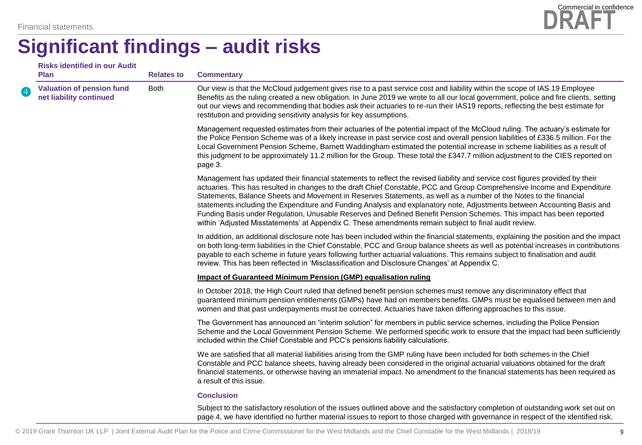|                          | <b>Risks identified in our Audit</b><br><b>Plan</b>         | <b>Relates to</b> | <b>Commentary</b>                                                                                                                                                                                                                                                                                                                                                                                                                                                                                                                                                                                                                                                                                                                           |
|--------------------------|-------------------------------------------------------------|-------------------|---------------------------------------------------------------------------------------------------------------------------------------------------------------------------------------------------------------------------------------------------------------------------------------------------------------------------------------------------------------------------------------------------------------------------------------------------------------------------------------------------------------------------------------------------------------------------------------------------------------------------------------------------------------------------------------------------------------------------------------------|
| $\overline{\mathcal{A}}$ | <b>Valuation of pension fund</b><br>net liability continued | <b>Both</b>       | Our view is that the McCloud judgement gives rise to a past service cost and liability within the scope of IAS 19 Employee<br>Benefits as the ruling created a new obligation. In June 2019 we wrote to all our local government, police and fire clients, setting<br>out our views and recommending that bodies ask their actuaries to re-run their IAS19 reports, reflecting the best estimate for<br>restitution and providing sensitivity analysis for key assumptions.                                                                                                                                                                                                                                                                 |
|                          |                                                             |                   | Management requested estimates from their actuaries of the potential impact of the McCloud ruling. The actuary's estimate for<br>the Police Pension Scheme was of a likely increase in past service cost and overall pension liabilities of £336.5 million. For the<br>Local Government Pension Scheme, Barnett Waddingham estimated the potential increase in scheme liabilities as a result of<br>this judgment to be approximately 11.2 million for the Group. These total the £347.7 million adjustment to the CIES reported on<br>page 3.                                                                                                                                                                                              |
|                          |                                                             |                   | Management has updated their financial statements to reflect the revised liability and service cost figures provided by their<br>actuaries. This has resulted in changes to the draft Chief Constable, PCC and Group Comprehensive Income and Expenditure<br>Statements, Balance Sheets and Movement in Reserves Statements, as well as a number of the Notes to the financial<br>statements including the Expenditure and Funding Analysis and explanatory note, Adjustments between Accounting Basis and<br>Funding Basis under Regulation, Unusable Reserves and Defined Benefit Pension Schemes. This impact has been reported<br>within 'Adjusted Misstatements' at Appendix C. These amendments remain subject to final audit review. |
|                          |                                                             |                   | In addition, an additional disclosure note has been included within the financial statements, explaining the position and the impact<br>on both long-term liabilities in the Chief Constable, PCC and Group balance sheets as well as potential increases in contributions<br>payable to each scheme in future years following further actuarial valuations. This remains subject to finalisation and audit<br>review. This has been reflected in 'Misclassification and Disclosure Changes' at Appendix C.                                                                                                                                                                                                                                 |
|                          |                                                             |                   | <b>Impact of Guaranteed Minimum Pension (GMP) equalisation ruling</b>                                                                                                                                                                                                                                                                                                                                                                                                                                                                                                                                                                                                                                                                       |
|                          |                                                             |                   | In October 2018, the High Court ruled that defined benefit pension schemes must remove any discriminatory effect that<br>guaranteed minimum pension entitlements (GMPs) have had on members benefits. GMPs must be equalised between men and<br>women and that past underpayments must be corrected. Actuaries have taken differing approaches to this issue.                                                                                                                                                                                                                                                                                                                                                                               |
|                          |                                                             |                   | The Government has announced an "interim solution" for members in public service schemes, including the Police Pension<br>Scheme and the Local Government Pension Scheme. We performed specific work to ensure that the impact had been sufficiently<br>included within the Chief Constable and PCC's pensions liability calculations.                                                                                                                                                                                                                                                                                                                                                                                                      |
|                          |                                                             |                   | We are satisfied that all material liabilities arising from the GMP ruling have been included for both schemes in the Chief<br>Constable and PCC balance sheets, having already been considered in the original actuarial valuations obtained for the draft<br>financial statements, or otherwise having an immaterial impact. No amendment to the financial statements has been required as<br>a result of this issue.                                                                                                                                                                                                                                                                                                                     |
|                          |                                                             |                   | <b>Conclusion</b>                                                                                                                                                                                                                                                                                                                                                                                                                                                                                                                                                                                                                                                                                                                           |
|                          |                                                             |                   | Subject to the satisfactory resolution of the issues outlined above and the satisfactory completion of outstanding work set out on<br>page 4, we have identified no further material issues to report to those charged with governance in respect of the identified risk.                                                                                                                                                                                                                                                                                                                                                                                                                                                                   |

**DRAFT**

Commercial in confidence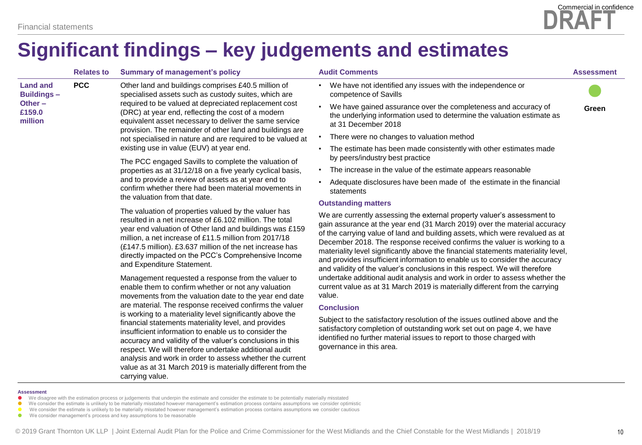

|                                      | <b>Relates to</b> | <b>Summary of management's policy</b>                                                                                                                                                                                                                                                                                                                                                                                                                                                                                                                                                                                                                                                                  | <b>Audit Comments</b>                                                                                                                                                                                                                                                                                                                                                                                                                                                                                                                                                                             | <b>Assessment</b> |
|--------------------------------------|-------------------|--------------------------------------------------------------------------------------------------------------------------------------------------------------------------------------------------------------------------------------------------------------------------------------------------------------------------------------------------------------------------------------------------------------------------------------------------------------------------------------------------------------------------------------------------------------------------------------------------------------------------------------------------------------------------------------------------------|---------------------------------------------------------------------------------------------------------------------------------------------------------------------------------------------------------------------------------------------------------------------------------------------------------------------------------------------------------------------------------------------------------------------------------------------------------------------------------------------------------------------------------------------------------------------------------------------------|-------------------|
| <b>Land and</b><br><b>Buildings-</b> | <b>PCC</b>        | Other land and buildings comprises £40.5 million of<br>specialised assets such as custody suites, which are<br>required to be valued at depreciated replacement cost<br>(DRC) at year end, reflecting the cost of a modern<br>equivalent asset necessary to deliver the same service                                                                                                                                                                                                                                                                                                                                                                                                                   | We have not identified any issues with the independence or<br>$\bullet$<br>competence of Savills                                                                                                                                                                                                                                                                                                                                                                                                                                                                                                  |                   |
| Other-<br>£159.0<br>million          |                   |                                                                                                                                                                                                                                                                                                                                                                                                                                                                                                                                                                                                                                                                                                        | We have gained assurance over the completeness and accuracy of<br>the underlying information used to determine the valuation estimate as<br>at 31 December 2018                                                                                                                                                                                                                                                                                                                                                                                                                                   | Green             |
|                                      |                   | provision. The remainder of other land and buildings are<br>not specialised in nature and are required to be valued at                                                                                                                                                                                                                                                                                                                                                                                                                                                                                                                                                                                 | There were no changes to valuation method                                                                                                                                                                                                                                                                                                                                                                                                                                                                                                                                                         |                   |
|                                      |                   | existing use in value (EUV) at year end.<br>The PCC engaged Savills to complete the valuation of<br>properties as at 31/12/18 on a five yearly cyclical basis,<br>and to provide a review of assets as at year end to<br>confirm whether there had been material movements in<br>the valuation from that date.<br>The valuation of properties valued by the valuer has<br>resulted in a net increase of £6.102 million. The total<br>year end valuation of Other land and buildings was £159<br>million, a net increase of £11.5 million from 2017/18<br>(£147.5 million). £3.637 million of the net increase has<br>directly impacted on the PCC's Comprehensive Income<br>and Expenditure Statement. | The estimate has been made consistently with other estimates made<br>$\bullet$<br>by peers/industry best practice<br>The increase in the value of the estimate appears reasonable<br>$\bullet$<br>Adequate disclosures have been made of the estimate in the financial<br>$\bullet$                                                                                                                                                                                                                                                                                                               |                   |
|                                      |                   |                                                                                                                                                                                                                                                                                                                                                                                                                                                                                                                                                                                                                                                                                                        | statements                                                                                                                                                                                                                                                                                                                                                                                                                                                                                                                                                                                        |                   |
|                                      |                   |                                                                                                                                                                                                                                                                                                                                                                                                                                                                                                                                                                                                                                                                                                        | <b>Outstanding matters</b><br>We are currently assessing the external property valuer's assessment to<br>gain assurance at the year end (31 March 2019) over the material accuracy<br>of the carrying value of land and building assets, which were revalued as at<br>December 2018. The response received confirms the valuer is working to a<br>materiality level significantly above the financial statements materiality level,<br>and provides insufficient information to enable us to consider the accuracy<br>and validity of the valuer's conclusions in this respect. We will therefore |                   |
|                                      |                   | Management requested a response from the valuer to<br>enable them to confirm whether or not any valuation<br>movements from the valuation date to the year end date                                                                                                                                                                                                                                                                                                                                                                                                                                                                                                                                    | undertake additional audit analysis and work in order to assess whether the<br>current value as at 31 March 2019 is materially different from the carrying<br>value.                                                                                                                                                                                                                                                                                                                                                                                                                              |                   |
|                                      |                   | are material. The response received confirms the valuer<br>is working to a materiality level significantly above the                                                                                                                                                                                                                                                                                                                                                                                                                                                                                                                                                                                   | <b>Conclusion</b><br>Subject to the satisfactory resolution of the issues outlined above and the                                                                                                                                                                                                                                                                                                                                                                                                                                                                                                  |                   |
|                                      |                   | financial statements materiality level, and provides<br>insufficient information to enable us to consider the<br>accuracy and validity of the valuer's conclusions in this<br>respect. We will therefore undertake additional audit<br>analysis and work in order to assess whether the current<br>value as at 31 March 2019 is materially different from the<br>carrying value.                                                                                                                                                                                                                                                                                                                       | satisfactory completion of outstanding work set out on page 4, we have<br>identified no further material issues to report to those charged with<br>governance in this area.                                                                                                                                                                                                                                                                                                                                                                                                                       |                   |

#### **Assessment**

- We disagree with the estimation process or judgements that underpin the estimate and consider the estimate to be potentially materially misstated
- We consider the estimate is unlikely to be materially misstated however management's estimation process contains assumptions we consider optimistic
- We consider the estimate is unlikely to be materially misstated however management's estimation process contains assumptions we consider cautious
- We consider management's process and key assumptions to be reasonable

**DRAFT**

Commercial in confidence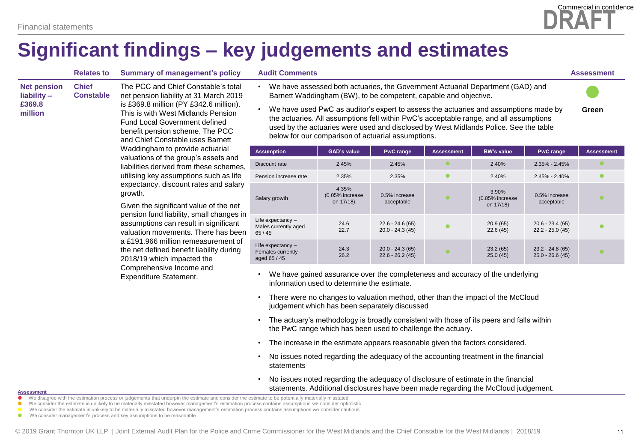**Net pension liability – £369.8 million**

### **Significant findings – key judgements and estimates**

| <b>Chief</b><br><b>Constable</b> | The PCC and Chief Constable's total<br>net pension liability at 31 March 2019<br>is £369.8 million (PY £342.6 million).<br>This is with West Midlands Pension<br><b>Fund Local Government defined</b><br>benefit pension scheme. The PCC<br>and Chief Constable uses Barnett<br>Waddingham to provide actuarial<br>valuations of the group's assets and<br>liabilities derived from these schemes<br>utilising key assumptions such as life<br>expectancy, discount rates and salar |
|----------------------------------|-------------------------------------------------------------------------------------------------------------------------------------------------------------------------------------------------------------------------------------------------------------------------------------------------------------------------------------------------------------------------------------------------------------------------------------------------------------------------------------|
|                                  | arowth.                                                                                                                                                                                                                                                                                                                                                                                                                                                                             |

pension fund liability, small changes in valuation movements. There has been

The PCC and Chief Constable's total net pension liability at 31 March 2019 is £369.8 million (PY £342.6 million). liabilities derived from these schemes, utilising key assumptions such as life expectancy, discount rates and salary

Given the significant value of the net assumptions can result in significant a £191.966 million remeasurement of the net defined benefit liability during 2018/19 which impacted the Comprehensive Income and Expenditure Statement.

- We have assessed both actuaries, the Government Actuarial Department (GAD) and Barnett Waddingham (BW), to be competent, capable and objective.
- We have used PwC as auditor's expert to assess the actuaries and assumptions made by the actuaries. All assumptions fell within PwC's acceptable range, and all assumptions used by the actuaries were used and disclosed by West Midlands Police. See the table below for our comparison of actuarial assumptions. **Green**

| <b>Assumption</b>                                        | <b>GAD's value</b>                    | <b>PwC</b> range                       | <b>Assessment</b> | <b>BW's value</b>                     | <b>PwC</b> range                       | <b>Assessment</b> |
|----------------------------------------------------------|---------------------------------------|----------------------------------------|-------------------|---------------------------------------|----------------------------------------|-------------------|
| Discount rate                                            | 2.45%                                 | 2.45%                                  |                   | 2.40%                                 | $2.35\% - 2.45\%$                      |                   |
| Pension increase rate                                    | 2.35%                                 | 2.35%                                  |                   | 2.40%                                 | $2.45\% - 2.40\%$                      |                   |
| Salary growth                                            | 4.35%<br>(0.05% increase<br>on 17/18) | 0.5% increase<br>acceptable            |                   | 3.90%<br>(0.05% increase<br>on 17/18) | 0.5% increase<br>acceptable            |                   |
| Life expectancy $-$<br>Males currently aged<br>65/45     | 24.6<br>22.7                          | $22.6 - 24.6(65)$<br>$20.0 - 24.3(45)$ |                   | 20.9(65)<br>22.6(45)                  | $20.6 - 23.4(65)$<br>$22.2 - 25.0(45)$ |                   |
| Life expectancy $-$<br>Females currently<br>aged 65 / 45 | 24.3<br>26.2                          | $20.0 - 24.3(65)$<br>$22.6 - 26.2(45)$ |                   | 23.2(65)<br>25.0(45)                  | $23.2 - 24.8(65)$<br>$25.0 - 26.6(45)$ |                   |

- We have gained assurance over the completeness and accuracy of the underlying information used to determine the estimate.
- There were no changes to valuation method, other than the impact of the McCloud judgement which has been separately discussed
- The actuary's methodology is broadly consistent with those of its peers and falls within the PwC range which has been used to challenge the actuary.
- The increase in the estimate appears reasonable given the factors considered.
- No issues noted regarding the adequacy of the accounting treatment in the financial statements
- No issues noted regarding the adequacy of disclosure of estimate in the financial statements. Additional disclosures have been made regarding the McCloud judgement.

#### **Assessment**

- We disagree with the estimation process or judgements that underpin the estimate and consider the estimate to be potentially materially misstated
- We consider the estimate is unlikely to be materially misstated however management's estimation process contains assumptions we consider optimistic
- We consider the estimate is unlikely to be materially misstated however management's estimation process contains assumptions we consider cautious
- We consider management's process and key assumptions to be reasonable



**Relates to Summary of management's policy Audit Comments Assessment**

 $\bullet$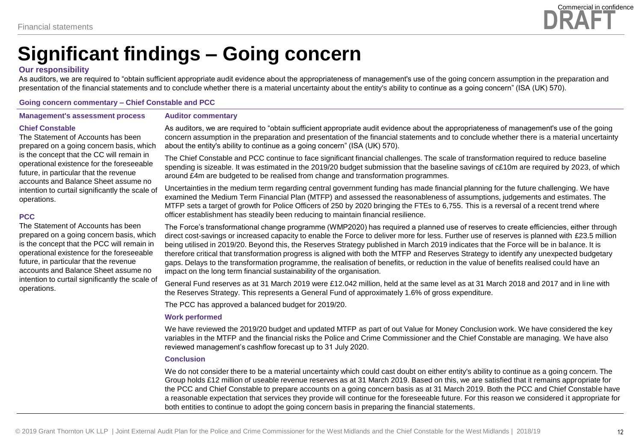

### **Significant findings – Going concern**

#### **Our responsibility**

As auditors, we are required to "obtain sufficient appropriate audit evidence about the appropriateness of management's use of the going concern assumption in the preparation and presentation of the financial statements and to conclude whether there is a material uncertainty about the entity's ability to continue as a going concern" (ISA (UK) 570).

#### **Going concern commentary – Chief Constable and PCC**

**Management's assessment process**

#### **Auditor commentary**

#### **Chief Constable**

The Statement of Accounts has been prepared on a going concern basis, which is the concept that the CC will remain in operational existence for the foreseeable future, in particular that the revenue accounts and Balance Sheet assume no intention to curtail significantly the scale of operations.

#### **PCC**

The Statement of Accounts has been prepared on a going concern basis, which is the concept that the PCC will remain in operational existence for the foreseeable future, in particular that the revenue accounts and Balance Sheet assume no intention to curtail significantly the scale of operations.

As auditors, we are required to "obtain sufficient appropriate audit evidence about the appropriateness of management's use of the going concern assumption in the preparation and presentation of the financial statements and to conclude whether there is a material uncertainty about the entity's ability to continue as a going concern" (ISA (UK) 570).

The Chief Constable and PCC continue to face significant financial challenges. The scale of transformation required to reduce baseline spending is sizeable. It was estimated in the 2019/20 budget submission that the baseline savings of c£10m are required by 2023, of which around £4m are budgeted to be realised from change and transformation programmes.

Uncertainties in the medium term regarding central government funding has made financial planning for the future challenging. We have examined the Medium Term Financial Plan (MTFP) and assessed the reasonableness of assumptions, judgements and estimates. The MTFP sets a target of growth for Police Officers of 250 by 2020 bringing the FTEs to 6,755. This is a reversal of a recent trend where officer establishment has steadily been reducing to maintain financial resilience.

The Force's transformational change programme (WMP2020) has required a planned use of reserves to create efficiencies, either through direct cost-savings or increased capacity to enable the Force to deliver more for less. Further use of reserves is planned with £23.5 million being utilised in 2019/20. Beyond this, the Reserves Strategy published in March 2019 indicates that the Force will be in balance. It is therefore critical that transformation progress is aligned with both the MTFP and Reserves Strategy to identify any unexpected budgetary gaps. Delays to the transformation programme, the realisation of benefits, or reduction in the value of benefits realised could have an impact on the long term financial sustainability of the organisation.

General Fund reserves as at 31 March 2019 were £12.042 million, held at the same level as at 31 March 2018 and 2017 and in line with the Reserves Strategy. This represents a General Fund of approximately 1.6% of gross expenditure.

The PCC has approved a balanced budget for 2019/20.

#### **Work performed**

We have reviewed the 2019/20 budget and updated MTFP as part of out Value for Money Conclusion work. We have considered the key variables in the MTFP and the financial risks the Police and Crime Commissioner and the Chief Constable are managing. We have also reviewed management's cashflow forecast up to 31 July 2020.

#### **Conclusion**

We do not consider there to be a material uncertainty which could cast doubt on either entity's ability to continue as a going concern. The Group holds £12 million of useable revenue reserves as at 31 March 2019. Based on this, we are satisfied that it remains appropriate for the PCC and Chief Constable to prepare accounts on a going concern basis as at 31 March 2019. Both the PCC and Chief Constable have a reasonable expectation that services they provide will continue for the foreseeable future. For this reason we considered it appropriate for both entities to continue to adopt the going concern basis in preparing the financial statements.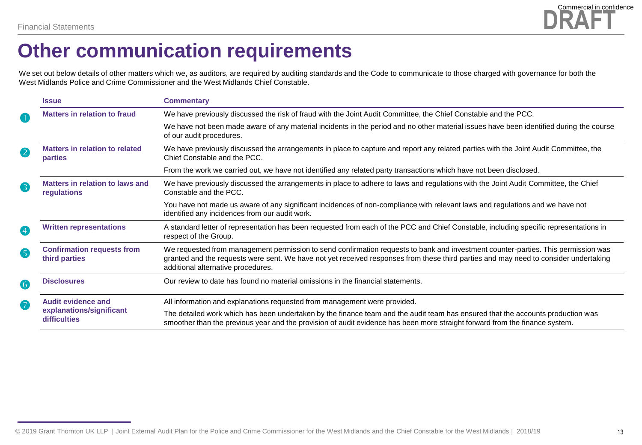

### **Other communication requirements**

We set out below details of other matters which we, as auditors, are required by auditing standards and the Code to communicate to those charged with governance for both the West Midlands Police and Crime Commissioner and the West Midlands Chief Constable.

|                         | <b>Issue</b>                                       | <b>Commentary</b>                                                                                                                                                                                                                                                                                               |
|-------------------------|----------------------------------------------------|-----------------------------------------------------------------------------------------------------------------------------------------------------------------------------------------------------------------------------------------------------------------------------------------------------------------|
| $\blacksquare$          | <b>Matters in relation to fraud</b>                | We have previously discussed the risk of fraud with the Joint Audit Committee, the Chief Constable and the PCC.                                                                                                                                                                                                 |
|                         |                                                    | We have not been made aware of any material incidents in the period and no other material issues have been identified during the course<br>of our audit procedures.                                                                                                                                             |
| $\overline{\mathbf{2}}$ | <b>Matters in relation to related</b><br>parties   | We have previously discussed the arrangements in place to capture and report any related parties with the Joint Audit Committee, the<br>Chief Constable and the PCC.                                                                                                                                            |
|                         |                                                    | From the work we carried out, we have not identified any related party transactions which have not been disclosed.                                                                                                                                                                                              |
| 8                       | Matters in relation to laws and<br>regulations     | We have previously discussed the arrangements in place to adhere to laws and regulations with the Joint Audit Committee, the Chief<br>Constable and the PCC.                                                                                                                                                    |
|                         |                                                    | You have not made us aware of any significant incidences of non-compliance with relevant laws and regulations and we have not<br>identified any incidences from our audit work.                                                                                                                                 |
| $\overline{\mathbf{4}}$ | <b>Written representations</b>                     | A standard letter of representation has been requested from each of the PCC and Chief Constable, including specific representations in<br>respect of the Group.                                                                                                                                                 |
| G                       | <b>Confirmation requests from</b><br>third parties | We requested from management permission to send confirmation requests to bank and investment counter-parties. This permission was<br>granted and the requests were sent. We have not yet received responses from these third parties and may need to consider undertaking<br>additional alternative procedures. |
| 6                       | <b>Disclosures</b>                                 | Our review to date has found no material omissions in the financial statements.                                                                                                                                                                                                                                 |
| 7                       | <b>Audit evidence and</b>                          | All information and explanations requested from management were provided.                                                                                                                                                                                                                                       |
|                         | explanations/significant<br>difficulties           | The detailed work which has been undertaken by the finance team and the audit team has ensured that the accounts production was<br>smoother than the previous year and the provision of audit evidence has been more straight forward from the finance system.                                                  |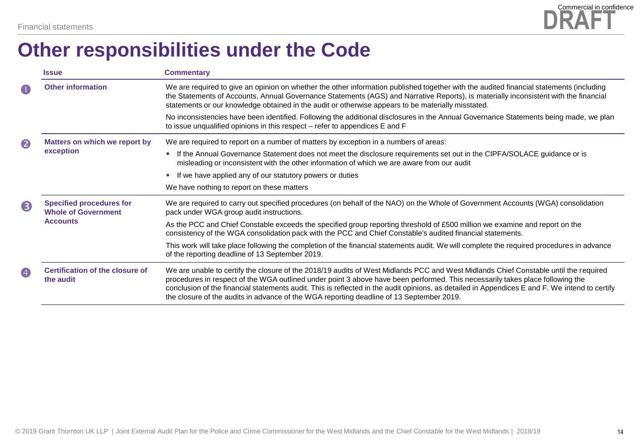

### **Other responsibilities under the Code**

|                  | <b>Issue</b>                                                                     | <b>Commentary</b>                                                                                                                                                                                                                                                                                                                                                                                                                                                                                                   |
|------------------|----------------------------------------------------------------------------------|---------------------------------------------------------------------------------------------------------------------------------------------------------------------------------------------------------------------------------------------------------------------------------------------------------------------------------------------------------------------------------------------------------------------------------------------------------------------------------------------------------------------|
| $\bullet$        | <b>Other information</b>                                                         | We are required to give an opinion on whether the other information published together with the audited financial statements (including<br>the Statements of Accounts, Annual Governance Statements (AGS) and Narrative Reports), is materially inconsistent with the financial<br>statements or our knowledge obtained in the audit or otherwise appears to be materially misstated.                                                                                                                               |
|                  |                                                                                  | No inconsistencies have been identified. Following the additional disclosures in the Annual Governance Statements being made, we plan<br>to issue unqualified opinions in this respect – refer to appendices E and F                                                                                                                                                                                                                                                                                                |
| $\boldsymbol{2}$ | Matters on which we report by                                                    | We are required to report on a number of matters by exception in a numbers of areas:                                                                                                                                                                                                                                                                                                                                                                                                                                |
|                  | exception                                                                        | If the Annual Governance Statement does not meet the disclosure requirements set out in the CIPFA/SOLACE guidance or is<br>$\bullet$<br>misleading or inconsistent with the other information of which we are aware from our audit                                                                                                                                                                                                                                                                                  |
|                  |                                                                                  | If we have applied any of our statutory powers or duties                                                                                                                                                                                                                                                                                                                                                                                                                                                            |
|                  |                                                                                  | We have nothing to report on these matters                                                                                                                                                                                                                                                                                                                                                                                                                                                                          |
| 8                | <b>Specified procedures for</b><br><b>Whole of Government</b><br><b>Accounts</b> | We are required to carry out specified procedures (on behalf of the NAO) on the Whole of Government Accounts (WGA) consolidation<br>pack under WGA group audit instructions.                                                                                                                                                                                                                                                                                                                                        |
|                  |                                                                                  | As the PCC and Chief Constable exceeds the specified group reporting threshold of £500 million we examine and report on the<br>consistency of the WGA consolidation pack with the PCC and Chief Constable's audited financial statements.                                                                                                                                                                                                                                                                           |
|                  |                                                                                  | This work will take place following the completion of the financial statements audit. We will complete the required procedures in advance<br>of the reporting deadline of 13 September 2019.                                                                                                                                                                                                                                                                                                                        |
| 4                | Certification of the closure of<br>the audit                                     | We are unable to certify the closure of the 2018/19 audits of West Midlands PCC and West Midlands Chief Constable until the required<br>procedures in respect of the WGA outlined under point 3 above have been performed. This necessarily takes place following the<br>conclusion of the financial statements audit. This is reflected in the audit opinions, as detailed in Appendices E and F. We intend to certify<br>the closure of the audits in advance of the WGA reporting deadline of 13 September 2019. |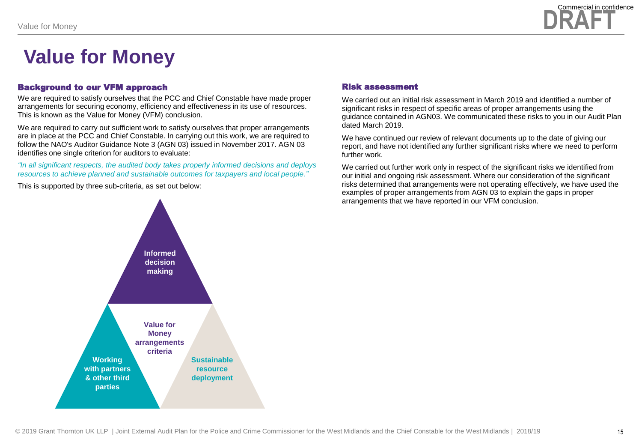

### **Value for Money**

#### Background to our VFM approach

We are required to satisfy ourselves that the PCC and Chief Constable have made proper arrangements for securing economy, efficiency and effectiveness in its use of resources. This is known as the Value for Money (VFM) conclusion.

We are required to carry out sufficient work to satisfy ourselves that proper arrangements are in place at the PCC and Chief Constable. In carrying out this work, we are required to follow the NAO's Auditor Guidance Note 3 (AGN 03) issued in November 2017. AGN 03 identifies one single criterion for auditors to evaluate:

*"In all significant respects, the audited body takes properly informed decisions and deploys resources to achieve planned and sustainable outcomes for taxpayers and local people."*

This is supported by three sub-criteria, as set out below:

#### Risk assessment

We carried out an initial risk assessment in March 2019 and identified a number of significant risks in respect of specific areas of proper arrangements using the guidance contained in AGN03. We communicated these risks to you in our Audit Plan dated March 2019.

We have continued our review of relevant documents up to the date of giving our report, and have not identified any further significant risks where we need to perform further work.

We carried out further work only in respect of the significant risks we identified from our initial and ongoing risk assessment. Where our consideration of the significant risks determined that arrangements were not operating effectively, we have used the examples of proper arrangements from AGN 03 to explain the gaps in proper arrangements that we have reported in our VFM conclusion.

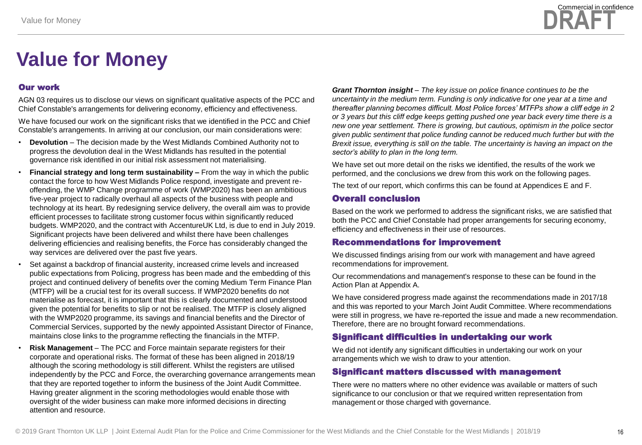# **Value for Money**

#### Our work

AGN 03 requires us to disclose our views on significant qualitative aspects of the PCC and Chief Constable's arrangements for delivering economy, efficiency and effectiveness.

We have focused our work on the significant risks that we identified in the PCC and Chief Constable's arrangements. In arriving at our conclusion, our main considerations were:

- **Devolution** The decision made by the West Midlands Combined Authority not to progress the devolution deal in the West Midlands has resulted in the potential governance risk identified in our initial risk assessment not materialising.
- **Financial strategy and long term sustainability –** From the way in which the public contact the force to how West Midlands Police respond, investigate and prevent reoffending, the WMP Change programme of work (WMP2020) has been an ambitious five-year project to radically overhaul all aspects of the business with people and technology at its heart. By redesigning service delivery, the overall aim was to provide efficient processes to facilitate strong customer focus within significantly reduced budgets. WMP2020, and the contract with AccentureUK Ltd, is due to end in July 2019. Significant projects have been delivered and whilst there have been challenges delivering efficiencies and realising benefits, the Force has considerably changed the way services are delivered over the past five years.
- Set against a backdrop of financial austerity, increased crime levels and increased public expectations from Policing, progress has been made and the embedding of this project and continued delivery of benefits over the coming Medium Term Finance Plan (MTFP) will be a crucial test for its overall success. If WMP2020 benefits do not materialise as forecast, it is important that this is clearly documented and understood given the potential for benefits to slip or not be realised. The MTFP is closely aligned with the WMP2020 programme, its savings and financial benefits and the Director of Commercial Services, supported by the newly appointed Assistant Director of Finance, maintains close links to the programme reflecting the financials in the MTFP.
- **Risk Management**  The PCC and Force maintain separate registers for their corporate and operational risks. The format of these has been aligned in 2018/19 although the scoring methodology is still different. Whilst the registers are utilised independently by the PCC and Force, the overarching governance arrangements mean that they are reported together to inform the business of the Joint Audit Committee. Having greater alignment in the scoring methodologies would enable those with oversight of the wider business can make more informed decisions in directing attention and resource.

*Grant Thornton insight – The key issue on police finance continues to be the uncertainty in the medium term. Funding is only indicative for one year at a time and thereafter planning becomes difficult. Most Police forces' MTFPs show a cliff edge in 2 or 3 years but this cliff edge keeps getting pushed one year back every time there is a new one year settlement. There is growing, but cautious, optimism in the police sector given public sentiment that police funding cannot be reduced much further but with the Brexit issue, everything is still on the table. The uncertainty is having an impact on the sector's ability to plan in the long term.*

We have set out more detail on the risks we identified, the results of the work we performed, and the conclusions we drew from this work on the following pages.

The text of our report, which confirms this can be found at Appendices E and F.

#### Overall conclusion

Based on the work we performed to address the significant risks, we are satisfied that both the PCC and Chief Constable had proper arrangements for securing economy, efficiency and effectiveness in their use of resources.

#### Recommendations for improvement

We discussed findings arising from our work with management and have agreed recommendations for improvement.

Our recommendations and management's response to these can be found in the Action Plan at Appendix A.

We have considered progress made against the recommendations made in 2017/18 and this was reported to your March Joint Audit Committee. Where recommendations were still in progress, we have re-reported the issue and made a new recommendation. Therefore, there are no brought forward recommendations.

### Significant difficulties in undertaking our work

We did not identify any significant difficulties in undertaking our work on your arrangements which we wish to draw to your attention.

#### Significant matters discussed with management

There were no matters where no other evidence was available or matters of such significance to our conclusion or that we required written representation from management or those charged with governance.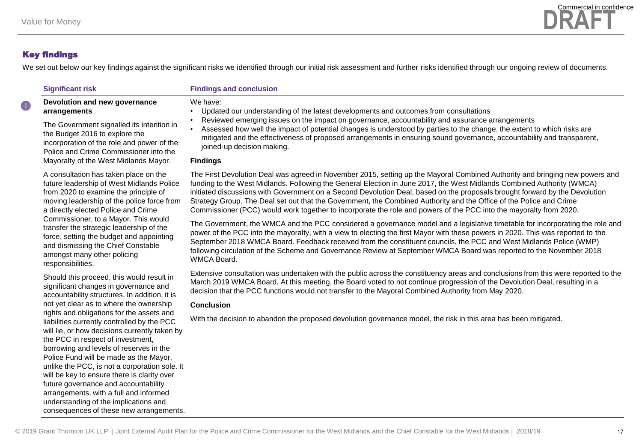

We set out below our key findings against the significant risks we identified through our initial risk assessment and further risks identified through our ongoing review of documents.

#### **Significant risk Findings and conclusion**

#### **Devolution and new governance arrangements**

The Government signalled its intention in the Budget 2016 to explore the incorporation of the role and power of the Police and Crime Commissioner into the Mayoralty of the West Midlands Mayor.

A consultation has taken place on the future leadership of West Midlands Police from 2020 to examine the principle of moving leadership of the police force from a directly elected Police and Crime Commissioner, to a Mayor. This would transfer the strategic leadership of the force, setting the budget and appointing and dismissing the Chief Constable amongst many other policing responsibilities.

Should this proceed, this would result in significant changes in governance and accountability structures. In addition, it is not yet clear as to where the ownership rights and obligations for the assets and liabilities currently controlled by the PCC will lie, or how decisions currently taken by the PCC in respect of investment, borrowing and levels of reserves in the Police Fund will be made as the Mayor, unlike the PCC, is not a corporation sole. It will be key to ensure there is clarity over future governance and accountability arrangements, with a full and informed understanding of the implications and consequences of these new arrangements.

#### We have:

- Updated our understanding of the latest developments and outcomes from consultations
- Reviewed emerging issues on the impact on governance, accountability and assurance arrangements
- Assessed how well the impact of potential changes is understood by parties to the change, the extent to which risks are mitigated and the effectiveness of proposed arrangements in ensuring sound governance, accountability and transparent, joined-up decision making.

#### **Findings**

The First Devolution Deal was agreed in November 2015, setting up the Mayoral Combined Authority and bringing new powers and funding to the West Midlands. Following the General Election in June 2017, the West Midlands Combined Authority (WMCA) initiated discussions with Government on a Second Devolution Deal, based on the proposals brought forward by the Devolution Strategy Group. The Deal set out that the Government, the Combined Authority and the Office of the Police and Crime Commissioner (PCC) would work together to incorporate the role and powers of the PCC into the mayoralty from 2020.

The Government, the WMCA and the PCC considered a governance model and a legislative timetable for incorporating the role and power of the PCC into the mayoralty, with a view to electing the first Mayor with these powers in 2020. This was reported to the September 2018 WMCA Board. Feedback received from the constituent councils, the PCC and West Midlands Police (WMP) following circulation of the Scheme and Governance Review at September WMCA Board was reported to the November 2018 WMCA Board.

Extensive consultation was undertaken with the public across the constituency areas and conclusions from this were reported to the March 2019 WMCA Board. At this meeting, the Board voted to not continue progression of the Devolution Deal, resulting in a decision that the PCC functions would not transfer to the Mayoral Combined Authority from May 2020.

#### **Conclusion**

With the decision to abandon the proposed devolution governance model, the risk in this area has been mitigated.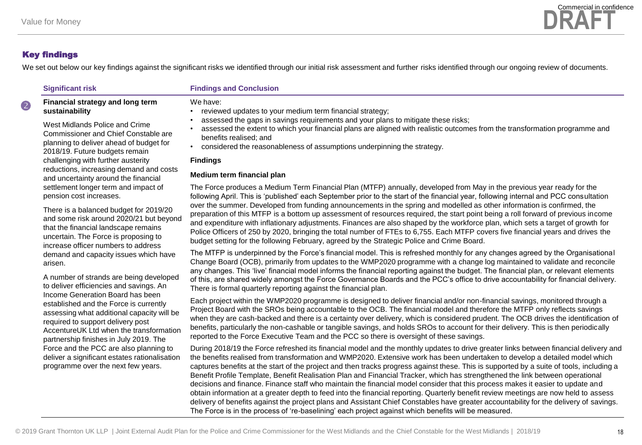We set out below our key findings against the significant risks we identified through our initial risk assessment and further risks identified through our ongoing review of documents.

#### **Significant risk Findings and Conclusion**

#### **Financial strategy and long term sustainability**

West Midlands Police and Crime Commissioner and Chief Constable are planning to deliver ahead of budget for 2018/19. Future budgets remain challenging with further austerity reductions, increasing demand and costs and uncertainty around the financial settlement longer term and impact of pension cost increases.

There is a balanced budget for 2019/20 and some risk around 2020/21 but beyond that the financial landscape remains uncertain. The Force is proposing to increase officer numbers to address demand and capacity issues which have arisen.

A number of strands are being developed to deliver efficiencies and savings. An Income Generation Board has been established and the Force is currently assessing what additional capacity will be required to support delivery post AccentureUK Ltd when the transformation partnership finishes in July 2019. The Force and the PCC are also planning to deliver a significant estates rationalisation programme over the next few years.

We have:

- reviewed updates to your medium term financial strategy;
- assessed the gaps in savings requirements and your plans to mitigate these risks;
- assessed the extent to which your financial plans are aligned with realistic outcomes from the transformation programme and benefits realised; and
- considered the reasonableness of assumptions underpinning the strategy.

#### **Findings**

#### **Medium term financial plan**

The Force produces a Medium Term Financial Plan (MTFP) annually, developed from May in the previous year ready for the following April. This is 'published' each September prior to the start of the financial year, following internal and PCC consultation over the summer. Developed from funding announcements in the spring and modelled as other information is confirmed, the preparation of this MTFP is a bottom up assessment of resources required, the start point being a roll forward of previous income and expenditure with inflationary adjustments. Finances are also shaped by the workforce plan, which sets a target of growth for Police Officers of 250 by 2020, bringing the total number of FTEs to 6,755. Each MTFP covers five financial years and drives the budget setting for the following February, agreed by the Strategic Police and Crime Board.

The MTFP is underpinned by the Force's financial model. This is refreshed monthly for any changes agreed by the Organisational Change Board (OCB), primarily from updates to the WMP2020 programme with a change log maintained to validate and reconcile any changes. This 'live' financial model informs the financial reporting against the budget. The financial plan, or relevant elements of this, are shared widely amongst the Force Governance Boards and the PCC's office to drive accountability for financial delivery. There is formal quarterly reporting against the financial plan.

Each project within the WMP2020 programme is designed to deliver financial and/or non-financial savings, monitored through a Project Board with the SROs being accountable to the OCB. The financial model and therefore the MTFP only reflects savings when they are cash-backed and there is a certainty over delivery, which is considered prudent. The OCB drives the identification of benefits, particularly the non-cashable or tangible savings, and holds SROs to account for their delivery. This is then periodically reported to the Force Executive Team and the PCC so there is oversight of these savings.

During 2018/19 the Force refreshed its financial model and the monthly updates to drive greater links between financial delivery and the benefits realised from transformation and WMP2020. Extensive work has been undertaken to develop a detailed model which captures benefits at the start of the project and then tracks progress against these. This is supported by a suite of tools, including a Benefit Profile Template, Benefit Realisation Plan and Financial Tracker, which has strengthened the link between operational decisions and finance. Finance staff who maintain the financial model consider that this process makes it easier to update and obtain information at a greater depth to feed into the financial reporting. Quarterly benefit review meetings are now held to assess delivery of benefits against the project plans and Assistant Chief Constables have greater accountability for the delivery of savings. The Force is in the process of 're-baselining' each project against which benefits will be measured.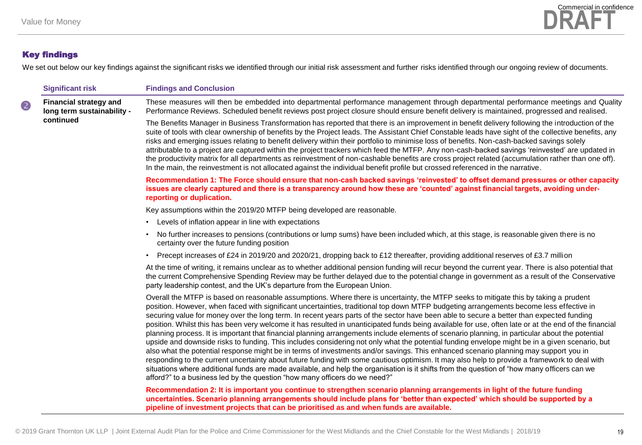

We set out below our key findings against the significant risks we identified through our initial risk assessment and further risks identified through our ongoing review of documents.

|   | <b>Significant risk</b>                                     | <b>Findings and Conclusion</b>                                                                                                                                                                                                                                                                                                                                                                                                                                                                                                                                                                                                                                                                                                                                                                                                                                                                                                                                                                                                                                                                                                                                                                                                                                                                                                                                                                                 |
|---|-------------------------------------------------------------|----------------------------------------------------------------------------------------------------------------------------------------------------------------------------------------------------------------------------------------------------------------------------------------------------------------------------------------------------------------------------------------------------------------------------------------------------------------------------------------------------------------------------------------------------------------------------------------------------------------------------------------------------------------------------------------------------------------------------------------------------------------------------------------------------------------------------------------------------------------------------------------------------------------------------------------------------------------------------------------------------------------------------------------------------------------------------------------------------------------------------------------------------------------------------------------------------------------------------------------------------------------------------------------------------------------------------------------------------------------------------------------------------------------|
| 2 | <b>Financial strategy and</b><br>long term sustainability - | These measures will then be embedded into departmental performance management through departmental performance meetings and Quality<br>Performance Reviews. Scheduled benefit reviews post project closure should ensure benefit delivery is maintained, progressed and realised.                                                                                                                                                                                                                                                                                                                                                                                                                                                                                                                                                                                                                                                                                                                                                                                                                                                                                                                                                                                                                                                                                                                              |
|   | continued                                                   | The Benefits Manager in Business Transformation has reported that there is an improvement in benefit delivery following the introduction of the<br>suite of tools with clear ownership of benefits by the Project leads. The Assistant Chief Constable leads have sight of the collective benefits, any<br>risks and emerging issues relating to benefit delivery within their portfolio to minimise loss of benefits. Non-cash-backed savings solely<br>attributable to a project are captured within the project trackers which feed the MTFP. Any non-cash-backed savings 'reinvested' are updated in<br>the productivity matrix for all departments as reinvestment of non-cashable benefits are cross project related (accumulation rather than one off).<br>In the main, the reinvestment is not allocated against the individual benefit profile but crossed referenced in the narrative.                                                                                                                                                                                                                                                                                                                                                                                                                                                                                                               |
|   |                                                             | Recommendation 1: The Force should ensure that non-cash backed savings 'reinvested' to offset demand pressures or other capacity<br>issues are clearly captured and there is a transparency around how these are 'counted' against financial targets, avoiding under-<br>reporting or duplication.                                                                                                                                                                                                                                                                                                                                                                                                                                                                                                                                                                                                                                                                                                                                                                                                                                                                                                                                                                                                                                                                                                             |
|   |                                                             | Key assumptions within the 2019/20 MTFP being developed are reasonable.                                                                                                                                                                                                                                                                                                                                                                                                                                                                                                                                                                                                                                                                                                                                                                                                                                                                                                                                                                                                                                                                                                                                                                                                                                                                                                                                        |
|   |                                                             | Levels of inflation appear in line with expectations<br>$\bullet$                                                                                                                                                                                                                                                                                                                                                                                                                                                                                                                                                                                                                                                                                                                                                                                                                                                                                                                                                                                                                                                                                                                                                                                                                                                                                                                                              |
|   |                                                             | No further increases to pensions (contributions or lump sums) have been included which, at this stage, is reasonable given there is no<br>certainty over the future funding position                                                                                                                                                                                                                                                                                                                                                                                                                                                                                                                                                                                                                                                                                                                                                                                                                                                                                                                                                                                                                                                                                                                                                                                                                           |
|   |                                                             | Precept increases of £24 in 2019/20 and 2020/21, dropping back to £12 thereafter, providing additional reserves of £3.7 million                                                                                                                                                                                                                                                                                                                                                                                                                                                                                                                                                                                                                                                                                                                                                                                                                                                                                                                                                                                                                                                                                                                                                                                                                                                                                |
|   |                                                             | At the time of writing, it remains unclear as to whether additional pension funding will recur beyond the current year. There is also potential that<br>the current Comprehensive Spending Review may be further delayed due to the potential change in government as a result of the Conservative<br>party leadership contest, and the UK's departure from the European Union.                                                                                                                                                                                                                                                                                                                                                                                                                                                                                                                                                                                                                                                                                                                                                                                                                                                                                                                                                                                                                                |
|   |                                                             | Overall the MTFP is based on reasonable assumptions. Where there is uncertainty, the MTFP seeks to mitigate this by taking a prudent<br>position. However, when faced with significant uncertainties, traditional top down MTFP budgeting arrangements become less effective in<br>securing value for money over the long term. In recent years parts of the sector have been able to secure a better than expected funding<br>position. Whilst this has been very welcome it has resulted in unanticipated funds being available for use, often late or at the end of the financial<br>planning process. It is important that financial planning arrangements include elements of scenario planning, in particular about the potential<br>upside and downside risks to funding. This includes considering not only what the potential funding envelope might be in a given scenario, but<br>also what the potential response might be in terms of investments and/or savings. This enhanced scenario planning may support you in<br>responding to the current uncertainty about future funding with some cautious optimism. It may also help to provide a framework to deal with<br>situations where additional funds are made available, and help the organisation is it shifts from the question of "how many officers can we<br>afford?" to a business led by the question "how many officers do we need?" |
|   |                                                             | Recommendation 2: It is important you continue to strengthen scenario planning arrangements in light of the future funding<br>uncertainties. Scenario planning arrangements should include plans for 'better than expected' which should be supported by a<br>pipeline of investment projects that can be prioritised as and when funds are available.                                                                                                                                                                                                                                                                                                                                                                                                                                                                                                                                                                                                                                                                                                                                                                                                                                                                                                                                                                                                                                                         |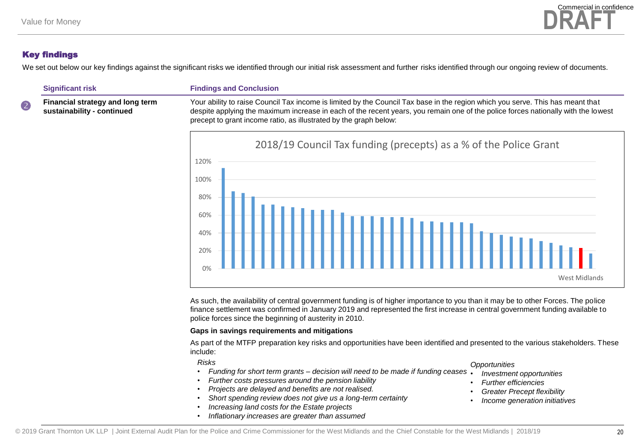

We set out below our key findings against the significant risks we identified through our initial risk assessment and further risks identified through our ongoing review of documents.

 **Financial strategy and long term sustainability - continued**

**Significant risk Findings and Conclusion**

Your ability to raise Council Tax income is limited by the Council Tax base in the region which you serve. This has meant that despite applying the maximum increase in each of the recent years, you remain one of the police forces nationally with the lowest precept to grant income ratio, as illustrated by the graph below:



As such, the availability of central government funding is of higher importance to you than it may be to other Forces. The police finance settlement was confirmed in January 2019 and represented the first increase in central government funding available to police forces since the beginning of austerity in 2010.

#### **Gaps in savings requirements and mitigations**

As part of the MTFP preparation key risks and opportunities have been identified and presented to the various stakeholders. These include:

*Risks*

- *Funding for short term grants – decision will need to be made if funding ceases*
- *Further costs pressures around the pension liability*
- *Projects are delayed and benefits are not realised.*
- *Short spending review does not give us a long-term certainty*
- *Increasing land costs for the Estate projects*
- *Inflationary increases are greater than assumed*

*Opportunities*

- *Investment opportunities*
- *Further efficiencies*
- *Greater Precept flexibility*
- *Income generation initiatives*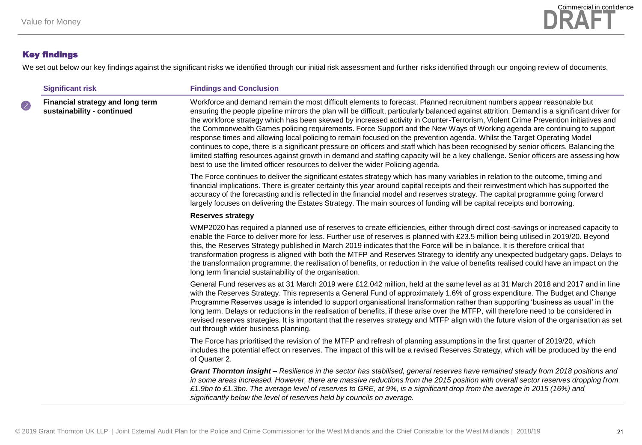

We set out below our key findings against the significant risks we identified through our initial risk assessment and further risks identified through our ongoing review of documents.

| <b>Significant risk</b> |                                                                | <b>Findings and Conclusion</b>                                                                                                                                                                                                                                                                                                                                                                                                                                                                                                                                                                                                                                                                                                                                                                                                                                                                                                                                                                                                         |
|-------------------------|----------------------------------------------------------------|----------------------------------------------------------------------------------------------------------------------------------------------------------------------------------------------------------------------------------------------------------------------------------------------------------------------------------------------------------------------------------------------------------------------------------------------------------------------------------------------------------------------------------------------------------------------------------------------------------------------------------------------------------------------------------------------------------------------------------------------------------------------------------------------------------------------------------------------------------------------------------------------------------------------------------------------------------------------------------------------------------------------------------------|
| 2                       | Financial strategy and long term<br>sustainability - continued | Workforce and demand remain the most difficult elements to forecast. Planned recruitment numbers appear reasonable but<br>ensuring the people pipeline mirrors the plan will be difficult, particularly balanced against attrition. Demand is a significant driver for<br>the workforce strategy which has been skewed by increased activity in Counter-Terrorism, Violent Crime Prevention initiatives and<br>the Commonwealth Games policing requirements. Force Support and the New Ways of Working agenda are continuing to support<br>response times and allowing local policing to remain focused on the prevention agenda. Whilst the Target Operating Model<br>continues to cope, there is a significant pressure on officers and staff which has been recognised by senior officers. Balancing the<br>limited staffing resources against growth in demand and staffing capacity will be a key challenge. Senior officers are assessing how<br>best to use the limited officer resources to deliver the wider Policing agenda. |
|                         |                                                                | The Force continues to deliver the significant estates strategy which has many variables in relation to the outcome, timing and<br>financial implications. There is greater certainty this year around capital receipts and their reinvestment which has supported the<br>accuracy of the forecasting and is reflected in the financial model and reserves strategy. The capital programme going forward<br>largely focuses on delivering the Estates Strategy. The main sources of funding will be capital receipts and borrowing.                                                                                                                                                                                                                                                                                                                                                                                                                                                                                                    |
|                         |                                                                | <b>Reserves strategy</b>                                                                                                                                                                                                                                                                                                                                                                                                                                                                                                                                                                                                                                                                                                                                                                                                                                                                                                                                                                                                               |
|                         |                                                                | WMP2020 has required a planned use of reserves to create efficiencies, either through direct cost-savings or increased capacity to<br>enable the Force to deliver more for less. Further use of reserves is planned with £23.5 million being utilised in 2019/20. Beyond<br>this, the Reserves Strategy published in March 2019 indicates that the Force will be in balance. It is therefore critical that<br>transformation progress is aligned with both the MTFP and Reserves Strategy to identify any unexpected budgetary gaps. Delays to<br>the transformation programme, the realisation of benefits, or reduction in the value of benefits realised could have an impact on the<br>long term financial sustainability of the organisation.                                                                                                                                                                                                                                                                                     |
|                         |                                                                | General Fund reserves as at 31 March 2019 were £12.042 million, held at the same level as at 31 March 2018 and 2017 and in line<br>with the Reserves Strategy. This represents a General Fund of approximately 1.6% of gross expenditure. The Budget and Change<br>Programme Reserves usage is intended to support organisational transformation rather than supporting 'business as usual' in the<br>long term. Delays or reductions in the realisation of benefits, if these arise over the MTFP, will therefore need to be considered in<br>revised reserves strategies. It is important that the reserves strategy and MTFP align with the future vision of the organisation as set<br>out through wider business planning.                                                                                                                                                                                                                                                                                                        |
|                         |                                                                | The Force has prioritised the revision of the MTFP and refresh of planning assumptions in the first quarter of 2019/20, which<br>includes the potential effect on reserves. The impact of this will be a revised Reserves Strategy, which will be produced by the end<br>of Quarter 2.                                                                                                                                                                                                                                                                                                                                                                                                                                                                                                                                                                                                                                                                                                                                                 |
|                         |                                                                | Grant Thornton insight - Resilience in the sector has stabilised, general reserves have remained steady from 2018 positions and<br>in some areas increased. However, there are massive reductions from the 2015 position with overall sector reserves dropping from<br>£1.9bn to £1.3bn. The average level of reserves to GRE, at 9%, is a significant drop from the average in 2015 (16%) and<br>significantly below the level of reserves held by councils on average.                                                                                                                                                                                                                                                                                                                                                                                                                                                                                                                                                               |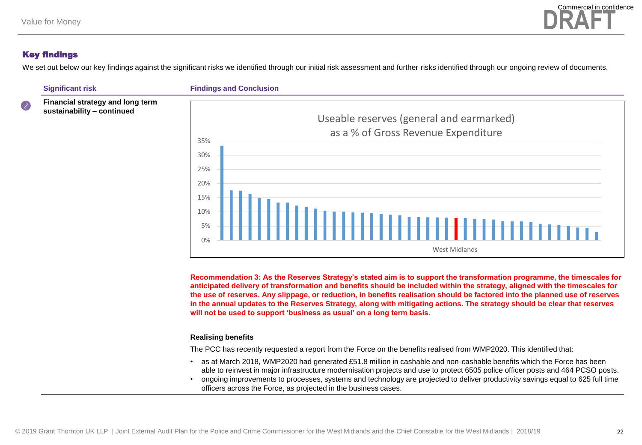

We set out below our key findings against the significant risks we identified through our initial risk assessment and further risks identified through our ongoing review of documents.





**Recommendation 3: As the Reserves Strategy's stated aim is to support the transformation programme, the timescales for anticipated delivery of transformation and benefits should be included within the strategy, aligned with the timescales for the use of reserves. Any slippage, or reduction, in benefits realisation should be factored into the planned use of reserves in the annual updates to the Reserves Strategy, along with mitigating actions. The strategy should be clear that reserves will not be used to support 'business as usual' on a long term basis.** 

#### **Realising benefits**

The PCC has recently requested a report from the Force on the benefits realised from WMP2020. This identified that:

- as at March 2018, WMP2020 had generated £51.8 million in cashable and non-cashable benefits which the Force has been able to reinvest in major infrastructure modernisation projects and use to protect 6505 police officer posts and 464 PCSO posts.
- ongoing improvements to processes, systems and technology are projected to deliver productivity savings equal to 625 full time officers across the Force, as projected in the business cases.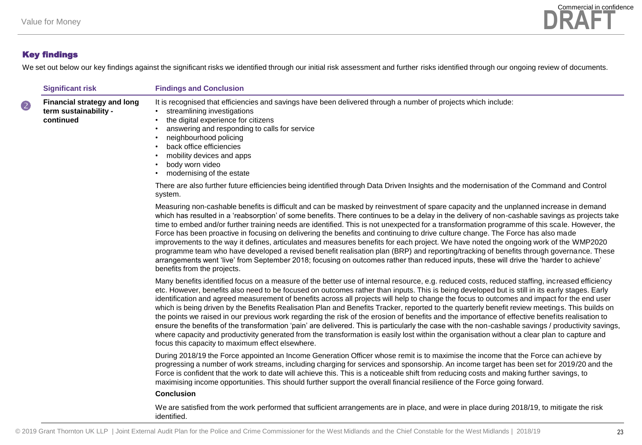

We set out below our key findings against the significant risks we identified through our initial risk assessment and further risks identified through our ongoing review of documents.

|   | <b>Significant risk</b>                                                  | <b>Findings and Conclusion</b>                                                                                                                                                                                                                                                                                                                                                                                                                                                                                                                                                                                                                                                                                                                                                                                                                                                                                                                                                                                                                                                                                  |
|---|--------------------------------------------------------------------------|-----------------------------------------------------------------------------------------------------------------------------------------------------------------------------------------------------------------------------------------------------------------------------------------------------------------------------------------------------------------------------------------------------------------------------------------------------------------------------------------------------------------------------------------------------------------------------------------------------------------------------------------------------------------------------------------------------------------------------------------------------------------------------------------------------------------------------------------------------------------------------------------------------------------------------------------------------------------------------------------------------------------------------------------------------------------------------------------------------------------|
| 2 | <b>Financial strategy and long</b><br>term sustainability -<br>continued | It is recognised that efficiencies and savings have been delivered through a number of projects which include:<br>streamlining investigations<br>the digital experience for citizens<br>answering and responding to calls for service<br>neighbourhood policing<br>back office efficiencies<br>mobility devices and apps<br>body worn video<br>modernising of the estate                                                                                                                                                                                                                                                                                                                                                                                                                                                                                                                                                                                                                                                                                                                                        |
|   |                                                                          | There are also further future efficiencies being identified through Data Driven Insights and the modernisation of the Command and Control<br>system.                                                                                                                                                                                                                                                                                                                                                                                                                                                                                                                                                                                                                                                                                                                                                                                                                                                                                                                                                            |
|   |                                                                          | Measuring non-cashable benefits is difficult and can be masked by reinvestment of spare capacity and the unplanned increase in demand<br>which has resulted in a 'reabsorption' of some benefits. There continues to be a delay in the delivery of non-cashable savings as projects take<br>time to embed and/or further training needs are identified. This is not unexpected for a transformation programme of this scale. However, the<br>Force has been proactive in focusing on delivering the benefits and continuing to drive culture change. The Force has also made<br>improvements to the way it defines, articulates and measures benefits for each project. We have noted the ongoing work of the WMP2020<br>programme team who have developed a revised benefit realisation plan (BRP) and reporting/tracking of benefits through governance. These<br>arrangements went 'live' from September 2018; focusing on outcomes rather than reduced inputs, these will drive the 'harder to achieve'<br>benefits from the projects.                                                                      |
|   |                                                                          | Many benefits identified focus on a measure of the better use of internal resource, e.g. reduced costs, reduced staffing, increased efficiency<br>etc. However, benefits also need to be focused on outcomes rather than inputs. This is being developed but is still in its early stages. Early<br>identification and agreed measurement of benefits across all projects will help to change the focus to outcomes and impact for the end user<br>which is being driven by the Benefits Realisation Plan and Benefits Tracker, reported to the quarterly benefit review meetings. This builds on<br>the points we raised in our previous work regarding the risk of the erosion of benefits and the importance of effective benefits realisation to<br>ensure the benefits of the transformation 'pain' are delivered. This is particularly the case with the non-cashable savings / productivity savings,<br>where capacity and productivity generated from the transformation is easily lost within the organisation without a clear plan to capture and<br>focus this capacity to maximum effect elsewhere. |
|   |                                                                          | During 2018/19 the Force appointed an Income Generation Officer whose remit is to maximise the income that the Force can achieve by<br>progressing a number of work streams, including charging for services and sponsorship. An income target has been set for 2019/20 and the<br>Force is confident that the work to date will achieve this. This is a noticeable shift from reducing costs and making further savings, to<br>maximising income opportunities. This should further support the overall financial resilience of the Force going forward.<br><b>Conclusion</b>                                                                                                                                                                                                                                                                                                                                                                                                                                                                                                                                  |

We are satisfied from the work performed that sufficient arrangements are in place, and were in place during 2018/19, to mitigate the risk identified.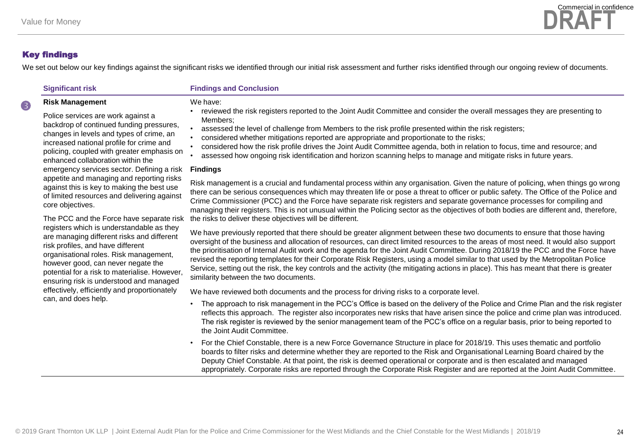

We set out below our key findings against the significant risks we identified through our initial risk assessment and further risks identified through our ongoing review of documents.

|  |  | <b>Significant risk</b> |
|--|--|-------------------------|
|  |  |                         |

**Risk Management**

#### **Findings and Conclusion**

#### We have:

- reviewed the risk registers reported to the Joint Audit Committee and consider the overall messages they are presenting to Members;
- assessed the level of challenge from Members to the risk profile presented within the risk registers;
- considered whether mitigations reported are appropriate and proportionate to the risks;
- considered how the risk profile drives the Joint Audit Committee agenda, both in relation to focus, time and resource; and
- assessed how ongoing risk identification and horizon scanning helps to manage and mitigate risks in future years.

#### **Findings**

Risk management is a crucial and fundamental process within any organisation. Given the nature of policing, when things go wrong there can be serious consequences which may threaten life or pose a threat to officer or public safety. The Office of the Police and Crime Commissioner (PCC) and the Force have separate risk registers and separate governance processes for compiling and managing their registers. This is not unusual within the Policing sector as the objectives of both bodies are different and, therefore, the risks to deliver these objectives will be different.

We have previously reported that there should be greater alignment between these two documents to ensure that those having oversight of the business and allocation of resources, can direct limited resources to the areas of most need. It would also support the prioritisation of Internal Audit work and the agenda for the Joint Audit Committee. During 2018/19 the PCC and the Force have revised the reporting templates for their Corporate Risk Registers, using a model similar to that used by the Metropolitan Police Service, setting out the risk, the key controls and the activity (the mitigating actions in place). This has meant that there is greater similarity between the two documents.

We have reviewed both documents and the process for driving risks to a corporate level.

- The approach to risk management in the PCC's Office is based on the delivery of the Police and Crime Plan and the risk register reflects this approach. The register also incorporates new risks that have arisen since the police and crime plan was introduced. The risk register is reviewed by the senior management team of the PCC's office on a regular basis, prior to being reported to the Joint Audit Committee.
- For the Chief Constable, there is a new Force Governance Structure in place for 2018/19. This uses thematic and portfolio boards to filter risks and determine whether they are reported to the Risk and Organisational Learning Board chaired by the Deputy Chief Constable. At that point, the risk is deemed operational or corporate and is then escalated and managed appropriately. Corporate risks are reported through the Corporate Risk Register and are reported at the Joint Audit Committee.

Police services are work against a backdrop of continued funding pressures, changes in levels and types of crime, an increased national profile for crime and policing, coupled with greater emphasis on enhanced collaboration within the emergency services sector. Defining a risk appetite and managing and reporting risks against this is key to making the best use of limited resources and delivering against core objectives.

The PCC and the Force have separate risk registers which is understandable as they are managing different risks and different risk profiles, and have different organisational roles. Risk management, however good, can never negate the potential for a risk to materialise. However, ensuring risk is understood and managed effectively, efficiently and proportionately can, and does help.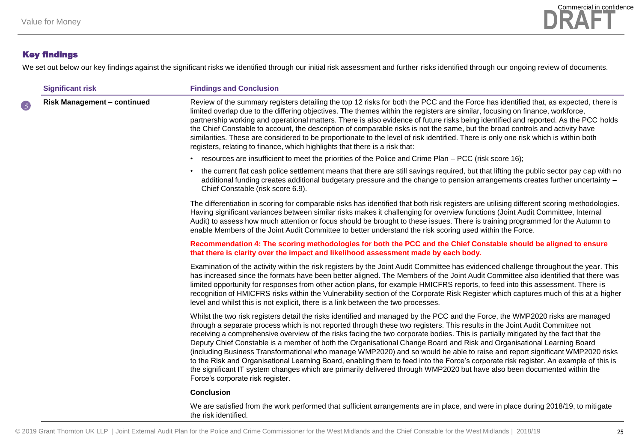

We set out below our key findings against the significant risks we identified through our initial risk assessment and further risks identified through our ongoing review of documents.

|   | <b>Significant risk</b>            | <b>Findings and Conclusion</b>                                                                                                                                                                                                                                                                                                                                                                                                                                                                                                                                                                                                                                                                                                                                                                                                                                                                                                                                    |
|---|------------------------------------|-------------------------------------------------------------------------------------------------------------------------------------------------------------------------------------------------------------------------------------------------------------------------------------------------------------------------------------------------------------------------------------------------------------------------------------------------------------------------------------------------------------------------------------------------------------------------------------------------------------------------------------------------------------------------------------------------------------------------------------------------------------------------------------------------------------------------------------------------------------------------------------------------------------------------------------------------------------------|
| 8 | <b>Risk Management - continued</b> | Review of the summary registers detailing the top 12 risks for both the PCC and the Force has identified that, as expected, there is<br>limited overlap due to the differing objectives. The themes within the registers are similar, focusing on finance, workforce,<br>partnership working and operational matters. There is also evidence of future risks being identified and reported. As the PCC holds<br>the Chief Constable to account, the description of comparable risks is not the same, but the broad controls and activity have<br>similarities. These are considered to be proportionate to the level of risk identified. There is only one risk which is within both<br>registers, relating to finance, which highlights that there is a risk that:                                                                                                                                                                                               |
|   |                                    | • resources are insufficient to meet the priorities of the Police and Crime Plan – PCC (risk score 16);                                                                                                                                                                                                                                                                                                                                                                                                                                                                                                                                                                                                                                                                                                                                                                                                                                                           |
|   |                                    | • the current flat cash police settlement means that there are still savings required, but that lifting the public sector pay cap with no<br>additional funding creates additional budgetary pressure and the change to pension arrangements creates further uncertainty –<br>Chief Constable (risk score 6.9).                                                                                                                                                                                                                                                                                                                                                                                                                                                                                                                                                                                                                                                   |
|   |                                    | The differentiation in scoring for comparable risks has identified that both risk registers are utilising different scoring methodologies.<br>Having significant variances between similar risks makes it challenging for overview functions (Joint Audit Committee, Internal<br>Audit) to assess how much attention or focus should be brought to these issues. There is training programmed for the Autumn to<br>enable Members of the Joint Audit Committee to better understand the risk scoring used within the Force.                                                                                                                                                                                                                                                                                                                                                                                                                                       |
|   |                                    | Recommendation 4: The scoring methodologies for both the PCC and the Chief Constable should be aligned to ensure<br>that there is clarity over the impact and likelihood assessment made by each body.                                                                                                                                                                                                                                                                                                                                                                                                                                                                                                                                                                                                                                                                                                                                                            |
|   |                                    | Examination of the activity within the risk registers by the Joint Audit Committee has evidenced challenge throughout the year. This<br>has increased since the formats have been better aligned. The Members of the Joint Audit Committee also identified that there was<br>limited opportunity for responses from other action plans, for example HMICFRS reports, to feed into this assessment. There is<br>recognition of HMICFRS risks within the Vulnerability section of the Corporate Risk Register which captures much of this at a higher<br>level and whilst this is not explicit, there is a link between the two processes.                                                                                                                                                                                                                                                                                                                          |
|   |                                    | Whilst the two risk registers detail the risks identified and managed by the PCC and the Force, the WMP2020 risks are managed<br>through a separate process which is not reported through these two registers. This results in the Joint Audit Committee not<br>receiving a comprehensive overview of the risks facing the two corporate bodies. This is partially mitigated by the fact that the<br>Deputy Chief Constable is a member of both the Organisational Change Board and Risk and Organisational Learning Board<br>(including Business Transformational who manage WMP2020) and so would be able to raise and report significant WMP2020 risks<br>to the Risk and Organisational Learning Board, enabling them to feed into the Force's corporate risk register. An example of this is<br>the significant IT system changes which are primarily delivered through WMP2020 but have also been documented within the<br>Force's corporate risk register. |
|   |                                    | <b>Conclusion</b>                                                                                                                                                                                                                                                                                                                                                                                                                                                                                                                                                                                                                                                                                                                                                                                                                                                                                                                                                 |
|   |                                    | We are satisfied from the work performed that sufficient arrangements are in place, and were in place during 2018/19, to mitigate<br>the risk identified.                                                                                                                                                                                                                                                                                                                                                                                                                                                                                                                                                                                                                                                                                                                                                                                                         |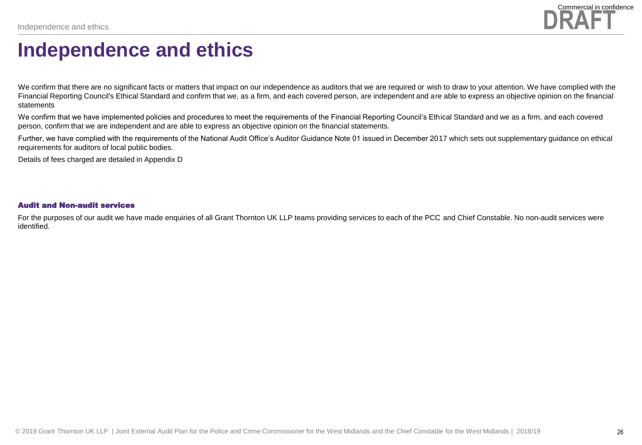

### **Independence and ethics**

We confirm that there are no significant facts or matters that impact on our independence as auditors that we are required or wish to draw to your attention. We have complied with the Financial Reporting Council's Ethical Standard and confirm that we, as a firm, and each covered person, are independent and are able to express an objective opinion on the financial statements

We confirm that we have implemented policies and procedures to meet the requirements of the Financial Reporting Council's Ethical Standard and we as a firm, and each covered person, confirm that we are independent and are able to express an objective opinion on the financial statements.

Further, we have complied with the requirements of the National Audit Office's Auditor Guidance Note 01 issued in December 2017 which sets out supplementary guidance on ethical requirements for auditors of local public bodies.

Details of fees charged are detailed in Appendix D

#### Audit and Non-audit services

For the purposes of our audit we have made enquiries of all Grant Thornton UK LLP teams providing services to each of the PCC and Chief Constable. No non-audit services were identified.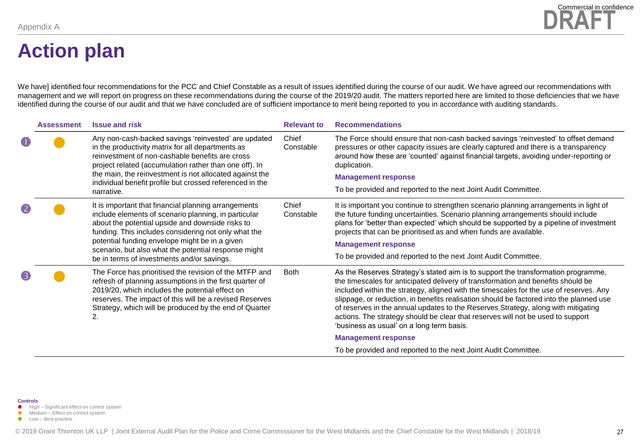# **Action plan**

We have] identified four recommendations for the PCC and Chief Constable as a result of issues identified during the course of our audit. We have agreed our recommendations with management and we will report on progress on these recommendations during the course of the 2019/20 audit. The matters reported here are limited to those deficiencies that we have identified during the course of our audit and that we have concluded are of sufficient importance to merit being reported to you in accordance with auditing standards.

|     | <b>Assessment</b> | <b>Issue and risk</b>                                                                                                                                                                                                                                                                                                                                                            | <b>Relevant to</b> | <b>Recommendations</b>                                                                                                                                                                                                                                                                                                                                                                                                                                                                                                                                                          |
|-----|-------------------|----------------------------------------------------------------------------------------------------------------------------------------------------------------------------------------------------------------------------------------------------------------------------------------------------------------------------------------------------------------------------------|--------------------|---------------------------------------------------------------------------------------------------------------------------------------------------------------------------------------------------------------------------------------------------------------------------------------------------------------------------------------------------------------------------------------------------------------------------------------------------------------------------------------------------------------------------------------------------------------------------------|
| ( 1 |                   | Any non-cash-backed savings 'reinvested' are updated<br>in the productivity matrix for all departments as<br>reinvestment of non-cashable benefits are cross<br>project related (accumulation rather than one off). In<br>the main, the reinvestment is not allocated against the<br>individual benefit profile but crossed referenced in the<br>narrative.                      | Chief<br>Constable | The Force should ensure that non-cash backed savings 'reinvested' to offset demand<br>pressures or other capacity issues are clearly captured and there is a transparency<br>around how these are 'counted' against financial targets, avoiding under-reporting or<br>duplication.                                                                                                                                                                                                                                                                                              |
|     |                   |                                                                                                                                                                                                                                                                                                                                                                                  |                    | <b>Management response</b>                                                                                                                                                                                                                                                                                                                                                                                                                                                                                                                                                      |
|     |                   |                                                                                                                                                                                                                                                                                                                                                                                  |                    | To be provided and reported to the next Joint Audit Committee.                                                                                                                                                                                                                                                                                                                                                                                                                                                                                                                  |
|     |                   | It is important that financial planning arrangements<br>include elements of scenario planning, in particular<br>about the potential upside and downside risks to<br>funding. This includes considering not only what the<br>potential funding envelope might be in a given<br>scenario, but also what the potential response might<br>be in terms of investments and/or savings. | Chief<br>Constable | It is important you continue to strengthen scenario planning arrangements in light of<br>the future funding uncertainties. Scenario planning arrangements should include<br>plans for 'better than expected' which should be supported by a pipeline of investment<br>projects that can be prioritised as and when funds are available.<br><b>Management response</b><br>To be provided and reported to the next Joint Audit Committee.                                                                                                                                         |
|     |                   | The Force has prioritised the revision of the MTFP and<br>refresh of planning assumptions in the first quarter of<br>2019/20, which includes the potential effect on<br>reserves. The impact of this will be a revised Reserves<br>Strategy, which will be produced by the end of Quarter<br>2.                                                                                  | <b>Both</b>        | As the Reserves Strategy's stated aim is to support the transformation programme,<br>the timescales for anticipated delivery of transformation and benefits should be<br>included within the strategy, aligned with the timescales for the use of reserves. Any<br>slippage, or reduction, in benefits realisation should be factored into the planned use<br>of reserves in the annual updates to the Reserves Strategy, along with mitigating<br>actions. The strategy should be clear that reserves will not be used to support<br>'business as usual' on a long term basis. |
|     |                   |                                                                                                                                                                                                                                                                                                                                                                                  |                    | <b>Management response</b>                                                                                                                                                                                                                                                                                                                                                                                                                                                                                                                                                      |
|     |                   |                                                                                                                                                                                                                                                                                                                                                                                  |                    | To be provided and reported to the next Joint Audit Committee.                                                                                                                                                                                                                                                                                                                                                                                                                                                                                                                  |

- **High Significant effect on control system**
- Medium Effect on control system **C** Low – Best practice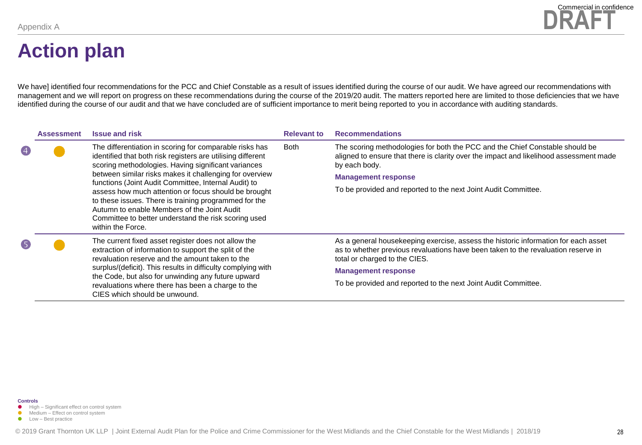

### **Action plan**

We have] identified four recommendations for the PCC and Chief Constable as a result of issues identified during the course of our audit. We have agreed our recommendations with management and we will report on progress on these recommendations during the course of the 2019/20 audit. The matters reported here are limited to those deficiencies that we have identified during the course of our audit and that we have concluded are of sufficient importance to merit being reported to you in accordance with auditing standards.

|                    | <b>Assessment</b> | <b>Issue and risk</b>                                                                                                                                                                                                                                                                                                                                        | <b>Relevant to</b> | <b>Recommendations</b>                                                                                                                                                                                   |
|--------------------|-------------------|--------------------------------------------------------------------------------------------------------------------------------------------------------------------------------------------------------------------------------------------------------------------------------------------------------------------------------------------------------------|--------------------|----------------------------------------------------------------------------------------------------------------------------------------------------------------------------------------------------------|
| $\left( 4 \right)$ |                   | The differentiation in scoring for comparable risks has<br>identified that both risk registers are utilising different<br>scoring methodologies. Having significant variances                                                                                                                                                                                | Both               | The scoring methodologies for both the PCC and the Chief Constable should be<br>aligned to ensure that there is clarity over the impact and likelihood assessment made<br>by each body.                  |
|                    |                   | between similar risks makes it challenging for overview<br>functions (Joint Audit Committee, Internal Audit) to<br>assess how much attention or focus should be brought<br>to these issues. There is training programmed for the<br>Autumn to enable Members of the Joint Audit<br>Committee to better understand the risk scoring used<br>within the Force. |                    | <b>Management response</b>                                                                                                                                                                               |
|                    |                   |                                                                                                                                                                                                                                                                                                                                                              |                    | To be provided and reported to the next Joint Audit Committee.                                                                                                                                           |
| $\sqrt{5}$         |                   | The current fixed asset register does not allow the<br>extraction of information to support the split of the<br>revaluation reserve and the amount taken to the                                                                                                                                                                                              |                    | As a general housekeeping exercise, assess the historic information for each asset<br>as to whether previous revaluations have been taken to the revaluation reserve in<br>total or charged to the CIES. |
|                    |                   | surplus/(deficit). This results in difficulty complying with<br>the Code, but also for unwinding any future upward<br>revaluations where there has been a charge to the<br>CIES which should be unwound.                                                                                                                                                     |                    | <b>Management response</b>                                                                                                                                                                               |
|                    |                   |                                                                                                                                                                                                                                                                                                                                                              |                    | To be provided and reported to the next Joint Audit Committee.                                                                                                                                           |

- **High Significant effect on control system**
- Medium Effect on control system
- **C** Low Best practice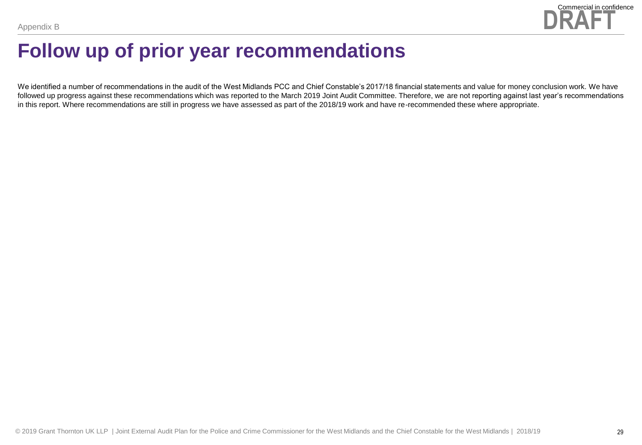

### **Follow up of prior year recommendations**

We identified a number of recommendations in the audit of the West Midlands PCC and Chief Constable's 2017/18 financial statements and value for money conclusion work. We have followed up progress against these recommendations which was reported to the March 2019 Joint Audit Committee. Therefore, we are not reporting against last year's recommendations in this report. Where recommendations are still in progress we have assessed as part of the 2018/19 work and have re-recommended these where appropriate.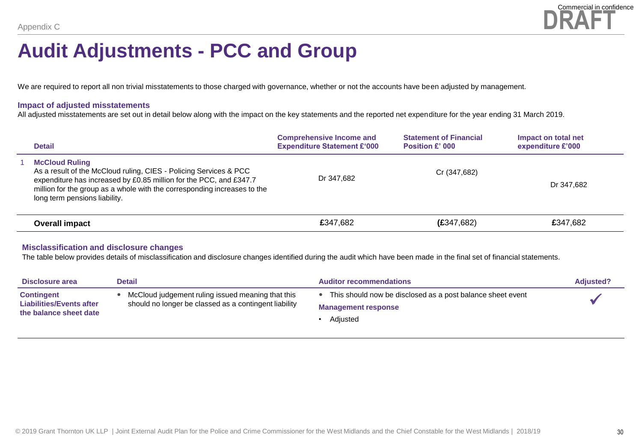

### **Audit Adjustments - PCC and Group**

We are required to report all non trivial misstatements to those charged with governance, whether or not the accounts have been adjusted by management.

#### **Impact of adjusted misstatements**

All adjusted misstatements are set out in detail below along with the impact on the key statements and the reported net expenditure for the year ending 31 March 2019.

| <b>Detail</b>                                                                                                                                                                                                                                                                 | <b>Comprehensive Income and</b><br><b>Expenditure Statement £'000</b> | <b>Statement of Financial</b><br><b>Position £' 000</b> | Impact on total net<br>expenditure £'000 |
|-------------------------------------------------------------------------------------------------------------------------------------------------------------------------------------------------------------------------------------------------------------------------------|-----------------------------------------------------------------------|---------------------------------------------------------|------------------------------------------|
| <b>McCloud Ruling</b><br>As a result of the McCloud ruling, CIES - Policing Services & PCC<br>expenditure has increased by £0.85 million for the PCC, and £347.7<br>million for the group as a whole with the corresponding increases to the<br>long term pensions liability. | Dr 347.682                                                            | Cr (347,682)                                            | Dr 347.682                               |
| Overall impact                                                                                                                                                                                                                                                                | £347.682                                                              | (E347,682)                                              | £347.682                                 |

#### **Misclassification and disclosure changes**

The table below provides details of misclassification and disclosure changes identified during the audit which have been made in the final set of financial statements.

| Disclosure area                                                                | <b>Detail</b>                                                                                              | <b>Auditor recommendations</b>                                                                       | <b>Adjusted?</b> |
|--------------------------------------------------------------------------------|------------------------------------------------------------------------------------------------------------|------------------------------------------------------------------------------------------------------|------------------|
| <b>Contingent</b><br><b>Liabilities/Events after</b><br>the balance sheet date | McCloud judgement ruling issued meaning that this<br>should no longer be classed as a contingent liability | This should now be disclosed as a post balance sheet event<br><b>Management response</b><br>Adiusted |                  |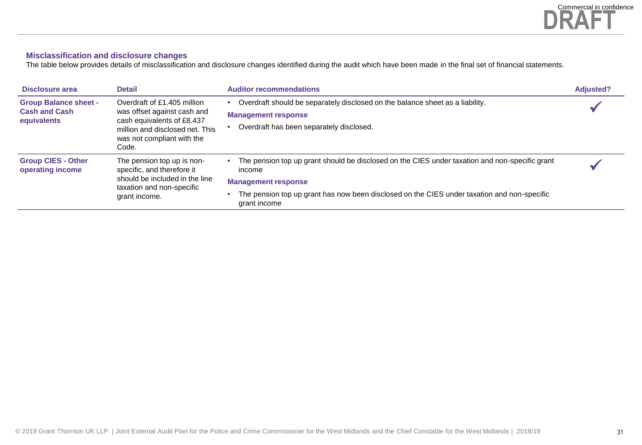#### **Misclassification and disclosure changes**

The table below provides details of misclassification and disclosure changes identified during the audit which have been made in the final set of financial statements.

| Disclosure area                                                     | <b>Detail</b>                                                                                                                                                      | <b>Auditor recommendations</b>                                                                                                                                                                                                                        | <b>Adjusted?</b> |
|---------------------------------------------------------------------|--------------------------------------------------------------------------------------------------------------------------------------------------------------------|-------------------------------------------------------------------------------------------------------------------------------------------------------------------------------------------------------------------------------------------------------|------------------|
| <b>Group Balance sheet -</b><br><b>Cash and Cash</b><br>equivalents | Overdraft of £1.405 million<br>was offset against cash and<br>cash equivalents of £8.437<br>million and disclosed net. This<br>was not compliant with the<br>Code. | Overdraft should be separately disclosed on the balance sheet as a liability.<br><b>Management response</b><br>Overdraft has been separately disclosed.                                                                                               |                  |
| <b>Group CIES - Other</b><br>operating income                       | The pension top up is non-<br>specific, and therefore it<br>should be included in the line<br>taxation and non-specific<br>grant income.                           | The pension top up grant should be disclosed on the CIES under taxation and non-specific grant<br>income<br><b>Management response</b><br>The pension top up grant has now been disclosed on the CIES under taxation and non-specific<br>grant income |                  |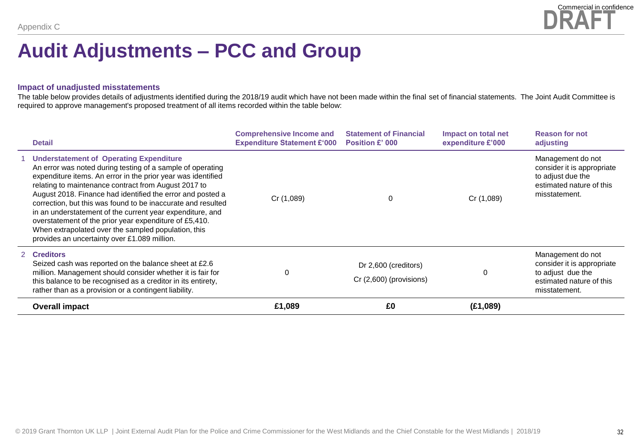

### **Audit Adjustments – PCC and Group**

#### **Impact of unadjusted misstatements**

The table below provides details of adjustments identified during the 2018/19 audit which have not been made within the final set of financial statements. The Joint Audit Committee is required to approve management's proposed treatment of all items recorded within the table below:

| <b>Detail</b>                                                                                                                                                                                                                                                                                                                                                                                                                                                                                                                                                                                    | <b>Comprehensive Income and</b><br><b>Expenditure Statement £'000</b> | <b>Statement of Financial</b><br><b>Position £' 000</b> | Impact on total net<br>expenditure £'000 | <b>Reason for not</b><br>adjusting                                                                                |
|--------------------------------------------------------------------------------------------------------------------------------------------------------------------------------------------------------------------------------------------------------------------------------------------------------------------------------------------------------------------------------------------------------------------------------------------------------------------------------------------------------------------------------------------------------------------------------------------------|-----------------------------------------------------------------------|---------------------------------------------------------|------------------------------------------|-------------------------------------------------------------------------------------------------------------------|
| <b>Understatement of Operating Expenditure</b><br>An error was noted during testing of a sample of operating<br>expenditure items. An error in the prior year was identified<br>relating to maintenance contract from August 2017 to<br>August 2018. Finance had identified the error and posted a<br>correction, but this was found to be inaccurate and resulted<br>in an understatement of the current year expenditure, and<br>overstatement of the prior year expenditure of £5,410.<br>When extrapolated over the sampled population, this<br>provides an uncertainty over £1.089 million. | Cr (1,089)                                                            | $\Omega$                                                | Cr (1,089)                               | Management do not<br>consider it is appropriate<br>to adjust due the<br>estimated nature of this<br>misstatement. |
| 2 Creditors<br>Seized cash was reported on the balance sheet at £2.6<br>million. Management should consider whether it is fair for<br>this balance to be recognised as a creditor in its entirety,<br>rather than as a provision or a contingent liability.                                                                                                                                                                                                                                                                                                                                      | $\Omega$                                                              | Dr 2,600 (creditors)<br>Cr (2,600) (provisions)         | $\Omega$                                 | Management do not<br>consider it is appropriate<br>to adjust due the<br>estimated nature of this<br>misstatement. |
| <b>Overall impact</b>                                                                                                                                                                                                                                                                                                                                                                                                                                                                                                                                                                            | £1,089                                                                | £0                                                      | (E1,089)                                 |                                                                                                                   |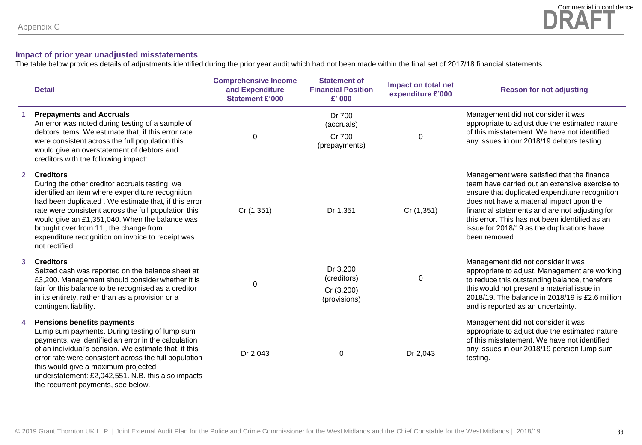#### **Impact of prior year unadjusted misstatements**

The table below provides details of adjustments identified during the prior year audit which had not been made within the final set of 2017/18 financial statements.

|                | <b>Detail</b>                                                                                                                                                                                                                                                                                                                                                                                             | <b>Comprehensive Income</b><br>and Expenditure<br><b>Statement £'000</b> | <b>Statement of</b><br><b>Financial Position</b><br>$£'$ 000 | Impact on total net<br>expenditure £'000 | <b>Reason for not adjusting</b>                                                                                                                                                                                                                                                                                                                               |
|----------------|-----------------------------------------------------------------------------------------------------------------------------------------------------------------------------------------------------------------------------------------------------------------------------------------------------------------------------------------------------------------------------------------------------------|--------------------------------------------------------------------------|--------------------------------------------------------------|------------------------------------------|---------------------------------------------------------------------------------------------------------------------------------------------------------------------------------------------------------------------------------------------------------------------------------------------------------------------------------------------------------------|
|                | <b>Prepayments and Accruals</b><br>An error was noted during testing of a sample of<br>debtors items. We estimate that, if this error rate<br>were consistent across the full population this<br>would give an overstatement of debtors and<br>creditors with the following impact:                                                                                                                       | $\mathbf 0$                                                              | Dr 700<br>(accruals)<br>Cr 700<br>(prepayments)              | 0                                        | Management did not consider it was<br>appropriate to adjust due the estimated nature<br>of this misstatement. We have not identified<br>any issues in our 2018/19 debtors testing.                                                                                                                                                                            |
| 2              | <b>Creditors</b><br>During the other creditor accruals testing, we<br>identified an item where expenditure recognition<br>had been duplicated. We estimate that, if this error<br>rate were consistent across the full population this<br>would give an £1,351,040. When the balance was<br>brought over from 11i, the change from<br>expenditure recognition on invoice to receipt was<br>not rectified. | Cr (1,351)                                                               | Dr 1,351                                                     | Cr(1,351)                                | Management were satisfied that the finance<br>team have carried out an extensive exercise to<br>ensure that duplicated expenditure recognition<br>does not have a material impact upon the<br>financial statements and are not adjusting for<br>this error. This has not been identified as an<br>issue for 2018/19 as the duplications have<br>been removed. |
| 3              | <b>Creditors</b><br>Seized cash was reported on the balance sheet at<br>£3,200. Management should consider whether it is<br>fair for this balance to be recognised as a creditor<br>in its entirety, rather than as a provision or a<br>contingent liability.                                                                                                                                             | $\Omega$                                                                 | Dr 3,200<br>(creditors)<br>Cr (3,200)<br>(provisions)        | $\mathbf{0}$                             | Management did not consider it was<br>appropriate to adjust. Management are working<br>to reduce this outstanding balance, therefore<br>this would not present a material issue in<br>2018/19. The balance in 2018/19 is £2.6 million<br>and is reported as an uncertainty.                                                                                   |
| $\overline{4}$ | <b>Pensions benefits payments</b><br>Lump sum payments. During testing of lump sum<br>payments, we identified an error in the calculation<br>of an individual's pension. We estimate that, if this<br>error rate were consistent across the full population<br>this would give a maximum projected<br>understatement: £2,042,551. N.B. this also impacts<br>the recurrent payments, see below.            | Dr 2,043                                                                 | $\Omega$                                                     | Dr 2,043                                 | Management did not consider it was<br>appropriate to adjust due the estimated nature<br>of this misstatement. We have not identified<br>any issues in our 2018/19 pension lump sum<br>testing.                                                                                                                                                                |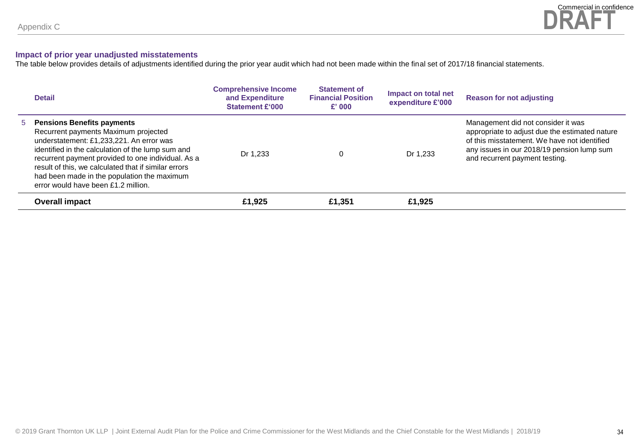#### **Impact of prior year unadjusted misstatements**

The table below provides details of adjustments identified during the prior year audit which had not been made within the final set of 2017/18 financial statements.

| <b>Detail</b>                                                                                                                                                                                                                                                                                                                                                             | <b>Comprehensive Income</b><br>and Expenditure<br><b>Statement £'000</b> | <b>Statement of</b><br><b>Financial Position</b><br>$\mathbf{f}'$ 000 | Impact on total net<br>expenditure £'000 | <b>Reason for not adjusting</b>                                                                                                                                                                                      |
|---------------------------------------------------------------------------------------------------------------------------------------------------------------------------------------------------------------------------------------------------------------------------------------------------------------------------------------------------------------------------|--------------------------------------------------------------------------|-----------------------------------------------------------------------|------------------------------------------|----------------------------------------------------------------------------------------------------------------------------------------------------------------------------------------------------------------------|
| 5 Pensions Benefits payments<br>Recurrent payments Maximum projected<br>understatement: £1,233,221. An error was<br>identified in the calculation of the lump sum and<br>recurrent payment provided to one individual. As a<br>result of this, we calculated that if similar errors<br>had been made in the population the maximum<br>error would have been £1.2 million. | Dr 1.233                                                                 | 0                                                                     | Dr 1,233                                 | Management did not consider it was<br>appropriate to adjust due the estimated nature<br>of this misstatement. We have not identified<br>any issues in our 2018/19 pension lump sum<br>and recurrent payment testing. |
| Overall impact                                                                                                                                                                                                                                                                                                                                                            | £1,925                                                                   | £1.351                                                                | £1.925                                   |                                                                                                                                                                                                                      |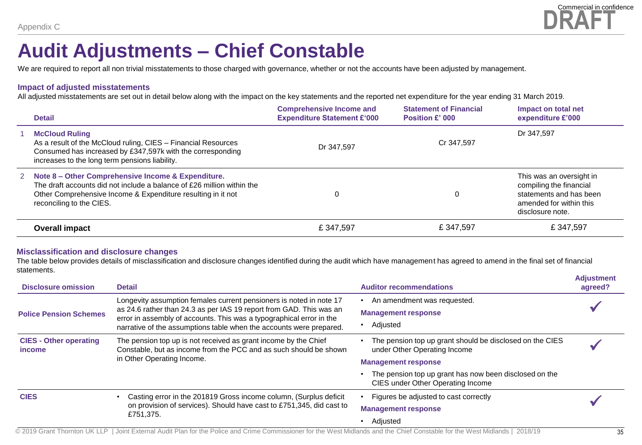

### **Audit Adjustments – Chief Constable**

We are required to report all non trivial misstatements to those charged with governance, whether or not the accounts have been adjusted by management.

#### **Impact of adjusted misstatements**

All adjusted misstatements are set out in detail below along with the impact on the key statements and the reported net expenditure for the year ending 31 March 2019.

| <b>Detail</b>                                                                                                                                                                                                              | <b>Comprehensive Income and</b><br><b>Expenditure Statement £'000</b> | <b>Statement of Financial</b><br>Position £' 000 | Impact on total net<br>expenditure £'000                                                                                      |
|----------------------------------------------------------------------------------------------------------------------------------------------------------------------------------------------------------------------------|-----------------------------------------------------------------------|--------------------------------------------------|-------------------------------------------------------------------------------------------------------------------------------|
| <b>McCloud Ruling</b><br>As a result of the McCloud ruling, CIES – Financial Resources<br>Consumed has increased by £347,597k with the corresponding<br>increases to the long term pensions liability.                     | Dr 347.597                                                            | Cr 347.597                                       | Dr 347.597                                                                                                                    |
| 2 Note 8 – Other Comprehensive Income & Expenditure.<br>The draft accounts did not include a balance of £26 million within the<br>Other Comprehensive Income & Expenditure resulting in it not<br>reconciling to the CIES. |                                                                       | 0                                                | This was an oversight in<br>compiling the financial<br>statements and has been<br>amended for within this<br>disclosure note. |
| <b>Overall impact</b>                                                                                                                                                                                                      | £347,597                                                              | £347,597                                         | £347,597                                                                                                                      |

#### **Misclassification and disclosure changes**

The table below provides details of misclassification and disclosure changes identified during the audit which have management has agreed to amend in the final set of financial statements.

| <b>Disclosure omission</b>                     | <b>Detail</b>                                                                                                                                                                                                                                                                             | <b>Auditor recommendations</b>                                                                                         | <b>Adjustment</b><br>agreed? |
|------------------------------------------------|-------------------------------------------------------------------------------------------------------------------------------------------------------------------------------------------------------------------------------------------------------------------------------------------|------------------------------------------------------------------------------------------------------------------------|------------------------------|
| <b>Police Pension Schemes</b>                  | Longevity assumption females current pensioners is noted in note 17<br>as 24.6 rather than 24.3 as per IAS 19 report from GAD. This was an<br>error in assembly of accounts. This was a typographical error in the<br>narrative of the assumptions table when the accounts were prepared. | An amendment was requested.<br><b>Management response</b><br>Adjusted                                                  |                              |
| <b>CIES - Other operating</b><br><i>income</i> | The pension top up is not received as grant income by the Chief<br>Constable, but as income from the PCC and as such should be shown<br>in Other Operating Income.                                                                                                                        | The pension top up grant should be disclosed on the CIES<br>under Other Operating Income<br><b>Management response</b> |                              |
|                                                |                                                                                                                                                                                                                                                                                           | The pension top up grant has now been disclosed on the<br>CIES under Other Operating Income                            |                              |
| <b>CIES</b>                                    | Casting error in the 201819 Gross income column, (Surplus deficit<br>on provision of services). Should have cast to £751,345, did cast to                                                                                                                                                 | Figures be adjusted to cast correctly<br><b>Management response</b>                                                    |                              |
|                                                | £751,375.                                                                                                                                                                                                                                                                                 | Adjusted                                                                                                               |                              |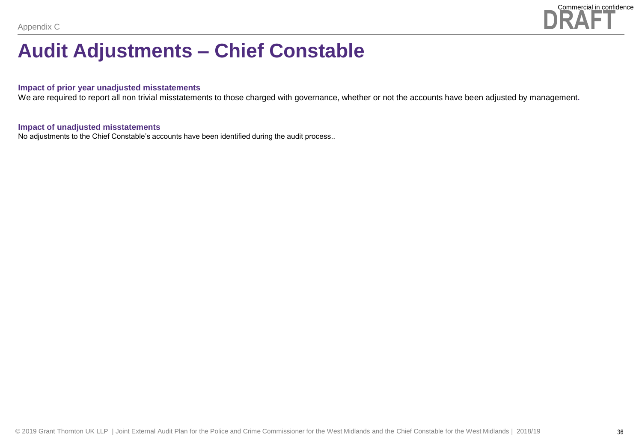

### **Audit Adjustments – Chief Constable**

#### **Impact of prior year unadjusted misstatements**

We are required to report all non trivial misstatements to those charged with governance, whether or not the accounts have been adjusted by management**.** 

#### **Impact of unadjusted misstatements**

No adjustments to the Chief Constable's accounts have been identified during the audit process..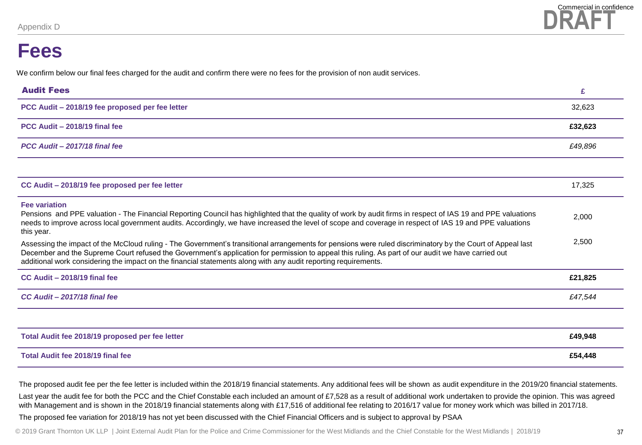### **Fees**

We confirm below our final fees charged for the audit and confirm there were no fees for the provision of non audit services.

| <b>Audit Fees</b>                                                                                                                                                                                                                                                                                                                                                                                                                   | £       |
|-------------------------------------------------------------------------------------------------------------------------------------------------------------------------------------------------------------------------------------------------------------------------------------------------------------------------------------------------------------------------------------------------------------------------------------|---------|
| PCC Audit - 2018/19 fee proposed per fee letter                                                                                                                                                                                                                                                                                                                                                                                     | 32,623  |
| PCC Audit - 2018/19 final fee                                                                                                                                                                                                                                                                                                                                                                                                       | £32,623 |
| PCC Audit - 2017/18 final fee                                                                                                                                                                                                                                                                                                                                                                                                       | £49,896 |
|                                                                                                                                                                                                                                                                                                                                                                                                                                     |         |
| CC Audit - 2018/19 fee proposed per fee letter                                                                                                                                                                                                                                                                                                                                                                                      | 17,325  |
| <b>Fee variation</b><br>Pensions and PPE valuation - The Financial Reporting Council has highlighted that the quality of work by audit firms in respect of IAS 19 and PPE valuations<br>needs to improve across local government audits. Accordingly, we have increased the level of scope and coverage in respect of IAS 19 and PPE valuations<br>this year.                                                                       | 2,000   |
| Assessing the impact of the McCloud ruling - The Government's transitional arrangements for pensions were ruled discriminatory by the Court of Appeal last<br>December and the Supreme Court refused the Government's application for permission to appeal this ruling. As part of our audit we have carried out<br>additional work considering the impact on the financial statements along with any audit reporting requirements. | 2,500   |
| CC Audit - 2018/19 final fee                                                                                                                                                                                                                                                                                                                                                                                                        | £21,825 |
| CC Audit - 2017/18 final fee                                                                                                                                                                                                                                                                                                                                                                                                        | £47,544 |
|                                                                                                                                                                                                                                                                                                                                                                                                                                     |         |
| Total Audit fee 2018/19 proposed per fee letter                                                                                                                                                                                                                                                                                                                                                                                     | £49,948 |
| Total Audit fee 2018/19 final fee                                                                                                                                                                                                                                                                                                                                                                                                   | £54,448 |

The proposed audit fee per the fee letter is included within the 2018/19 financial statements. Any additional fees will be shown as audit expenditure in the 2019/20 financial statements.

Last year the audit fee for both the PCC and the Chief Constable each included an amount of £7,528 as a result of additional work undertaken to provide the opinion. This was agreed with Management and is shown in the 2018/19 financial statements along with £17,516 of additional fee relating to 2016/17 value for money work which was billed in 2017/18.

The proposed fee variation for 2018/19 has not yet been discussed with the Chief Financial Officers and is subject to approval by PSAA

© 2019 Grant Thornton UK LLP | Joint External Audit Plan for the Police and Crime Commissioner for the West Midlands and the Chief Constable for the West Midlands | 2018/19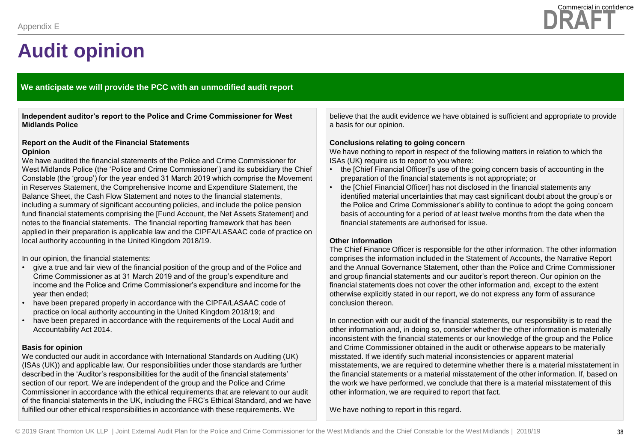

#### **We anticipate we will provide the PCC with an unmodified audit report**

**Independent auditor's report to the Police and Crime Commissioner for West Midlands Police**

#### **Report on the Audit of the Financial Statements Opinion**

We have audited the financial statements of the Police and Crime Commissioner for West Midlands Police (the 'Police and Crime Commissioner') and its subsidiary the Chief Constable (the 'group') for the year ended 31 March 2019 which comprise the Movement in Reserves Statement, the Comprehensive Income and Expenditure Statement, the Balance Sheet, the Cash Flow Statement and notes to the financial statements, including a summary of significant accounting policies, and include the police pension fund financial statements comprising the [Fund Account, the Net Assets Statement] and notes to the financial statements. The financial reporting framework that has been applied in their preparation is applicable law and the CIPFA/LASAAC code of practice on local authority accounting in the United Kingdom 2018/19.

In our opinion, the financial statements:

- give a true and fair view of the financial position of the group and of the Police and Crime Commissioner as at 31 March 2019 and of the group's expenditure and income and the Police and Crime Commissioner's expenditure and income for the year then ended;
- have been prepared properly in accordance with the CIPFA/LASAAC code of practice on local authority accounting in the United Kingdom 2018/19; and
- have been prepared in accordance with the requirements of the Local Audit and Accountability Act 2014.

#### **Basis for opinion**

We conducted our audit in accordance with International Standards on Auditing (UK) (ISAs (UK)) and applicable law. Our responsibilities under those standards are further described in the 'Auditor's responsibilities for the audit of the financial statements' section of our report. We are independent of the group and the Police and Crime Commissioner in accordance with the ethical requirements that are relevant to our audit of the financial statements in the UK, including the FRC's Ethical Standard, and we have fulfilled our other ethical responsibilities in accordance with these requirements. We

believe that the audit evidence we have obtained is sufficient and appropriate to provide a basis for our opinion.

#### **Conclusions relating to going concern**

We have nothing to report in respect of the following matters in relation to which the ISAs (UK) require us to report to you where:

- the [Chief Financial Officer]'s use of the going concern basis of accounting in the preparation of the financial statements is not appropriate; or
- the [Chief Financial Officer] has not disclosed in the financial statements any identified material uncertainties that may cast significant doubt about the group's or the Police and Crime Commissioner's ability to continue to adopt the going concern basis of accounting for a period of at least twelve months from the date when the financial statements are authorised for issue.

#### **Other information**

The Chief Finance Officer is responsible for the other information. The other information comprises the information included in the Statement of Accounts, the Narrative Report and the Annual Governance Statement, other than the Police and Crime Commissioner and group financial statements and our auditor's report thereon. Our opinion on the financial statements does not cover the other information and, except to the extent otherwise explicitly stated in our report, we do not express any form of assurance conclusion thereon.

In connection with our audit of the financial statements, our responsibility is to read the other information and, in doing so, consider whether the other information is materially inconsistent with the financial statements or our knowledge of the group and the Police and Crime Commissioner obtained in the audit or otherwise appears to be materially misstated. If we identify such material inconsistencies or apparent material misstatements, we are required to determine whether there is a material misstatement in the financial statements or a material misstatement of the other information. If, based on the work we have performed, we conclude that there is a material misstatement of this other information, we are required to report that fact.

We have nothing to report in this regard.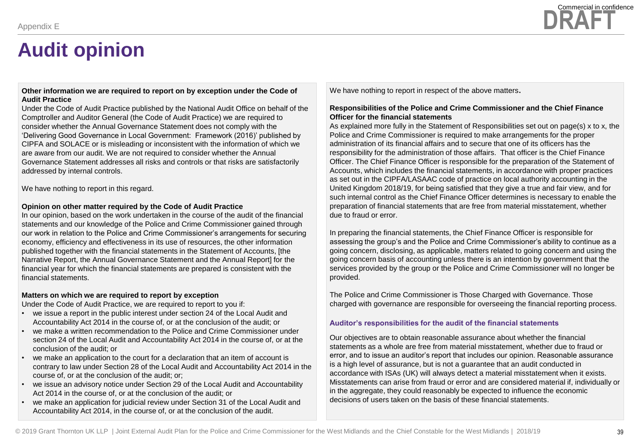#### **Other information we are required to report on by exception under the Code of Audit Practice**

Under the Code of Audit Practice published by the National Audit Office on behalf of the Comptroller and Auditor General (the Code of Audit Practice) we are required to consider whether the Annual Governance Statement does not comply with the 'Delivering Good Governance in Local Government: Framework (2016)' published by CIPFA and SOLACE or is misleading or inconsistent with the information of which we are aware from our audit. We are not required to consider whether the Annual Governance Statement addresses all risks and controls or that risks are satisfactorily addressed by internal controls.

We have nothing to report in this regard.

#### **Opinion on other matter required by the Code of Audit Practice**

In our opinion, based on the work undertaken in the course of the audit of the financial statements and our knowledge of the Police and Crime Commissioner gained through our work in relation to the Police and Crime Commissioner's arrangements for securing economy, efficiency and effectiveness in its use of resources, the other information published together with the financial statements in the Statement of Accounts, [the Narrative Report, the Annual Governance Statement and the Annual Report] for the financial year for which the financial statements are prepared is consistent with the financial statements.

#### **Matters on which we are required to report by exception**

Under the Code of Audit Practice, we are required to report to you if:

- we issue a report in the public interest under section 24 of the Local Audit and Accountability Act 2014 in the course of, or at the conclusion of the audit; or
- we make a written recommendation to the Police and Crime Commissioner under section 24 of the Local Audit and Accountability Act 2014 in the course of, or at the conclusion of the audit; or
- we make an application to the court for a declaration that an item of account is contrary to law under Section 28 of the Local Audit and Accountability Act 2014 in the course of, or at the conclusion of the audit; or;
- we issue an advisory notice under Section 29 of the Local Audit and Accountability Act 2014 in the course of, or at the conclusion of the audit; or
- we make an application for judicial review under Section 31 of the Local Audit and Accountability Act 2014, in the course of, or at the conclusion of the audit.

We have nothing to report in respect of the above matters**.**

#### **Responsibilities of the Police and Crime Commissioner and the Chief Finance Officer for the financial statements**

As explained more fully in the Statement of Responsibilities set out on page(s) x to x, the Police and Crime Commissioner is required to make arrangements for the proper administration of its financial affairs and to secure that one of its officers has the responsibility for the administration of those affairs. That officer is the Chief Finance Officer. The Chief Finance Officer is responsible for the preparation of the Statement of Accounts, which includes the financial statements, in accordance with proper practices as set out in the CIPFA/LASAAC code of practice on local authority accounting in the United Kingdom 2018/19, for being satisfied that they give a true and fair view, and for such internal control as the Chief Finance Officer determines is necessary to enable the preparation of financial statements that are free from material misstatement, whether due to fraud or error.

In preparing the financial statements, the Chief Finance Officer is responsible for assessing the group's and the Police and Crime Commissioner's ability to continue as a going concern, disclosing, as applicable, matters related to going concern and using the going concern basis of accounting unless there is an intention by government that the services provided by the group or the Police and Crime Commissioner will no longer be provided.

The Police and Crime Commissioner is Those Charged with Governance. Those charged with governance are responsible for overseeing the financial reporting process.

#### **Auditor's responsibilities for the audit of the financial statements**

Our objectives are to obtain reasonable assurance about whether the financial statements as a whole are free from material misstatement, whether due to fraud or error, and to issue an auditor's report that includes our opinion. Reasonable assurance is a high level of assurance, but is not a guarantee that an audit conducted in accordance with ISAs (UK) will always detect a material misstatement when it exists. Misstatements can arise from fraud or error and are considered material if, individually or in the aggregate, they could reasonably be expected to influence the economic decisions of users taken on the basis of these financial statements.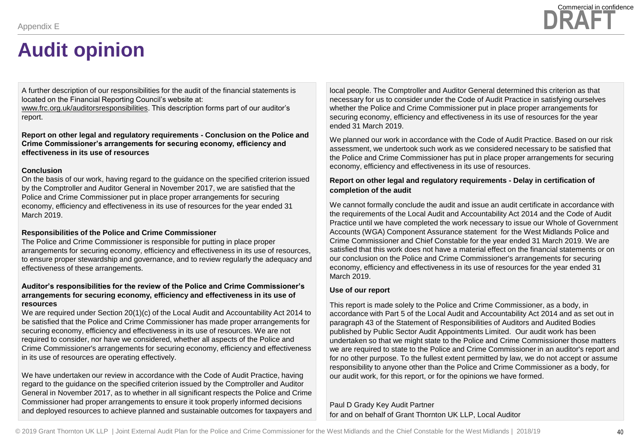A further description of our responsibilities for the audit of the financial statements is located on the Financial Reporting Council's website at:

[www.frc.org.uk/auditorsresponsibilities.](http://www.frc.org.uk/auditorsresponsibilities) This description forms part of our auditor's report.

**Report on other legal and regulatory requirements - Conclusion on the Police and Crime Commissioner's arrangements for securing economy, efficiency and effectiveness in its use of resources**

#### **Conclusion**

On the basis of our work, having regard to the guidance on the specified criterion issued by the Comptroller and Auditor General in November 2017, we are satisfied that the Police and Crime Commissioner put in place proper arrangements for securing economy, efficiency and effectiveness in its use of resources for the year ended 31 March 2019.

#### **Responsibilities of the Police and Crime Commissioner**

The Police and Crime Commissioner is responsible for putting in place proper arrangements for securing economy, efficiency and effectiveness in its use of resources, to ensure proper stewardship and governance, and to review regularly the adequacy and effectiveness of these arrangements.

#### **Auditor's responsibilities for the review of the Police and Crime Commissioner's arrangements for securing economy, efficiency and effectiveness in its use of resources**

We are required under Section 20(1)(c) of the Local Audit and Accountability Act 2014 to be satisfied that the Police and Crime Commissioner has made proper arrangements for securing economy, efficiency and effectiveness in its use of resources. We are not required to consider, nor have we considered, whether all aspects of the Police and Crime Commissioner's arrangements for securing economy, efficiency and effectiveness in its use of resources are operating effectively.

We have undertaken our review in accordance with the Code of Audit Practice, having regard to the guidance on the specified criterion issued by the Comptroller and Auditor General in November 2017, as to whether in all significant respects the Police and Crime Commissioner had proper arrangements to ensure it took properly informed decisions and deployed resources to achieve planned and sustainable outcomes for taxpayers and

local people. The Comptroller and Auditor General determined this criterion as that necessary for us to consider under the Code of Audit Practice in satisfying ourselves whether the Police and Crime Commissioner put in place proper arrangements for securing economy, efficiency and effectiveness in its use of resources for the year ended 31 March 2019.

We planned our work in accordance with the Code of Audit Practice. Based on our risk assessment, we undertook such work as we considered necessary to be satisfied that the Police and Crime Commissioner has put in place proper arrangements for securing economy, efficiency and effectiveness in its use of resources.

#### **Report on other legal and regulatory requirements - Delay in certification of completion of the audit**

We cannot formally conclude the audit and issue an audit certificate in accordance with the requirements of the Local Audit and Accountability Act 2014 and the Code of Audit Practice until we have completed the work necessary to issue our Whole of Government Accounts (WGA) Component Assurance statement for the West Midlands Police and Crime Commissioner and Chief Constable for the year ended 31 March 2019. We are satisfied that this work does not have a material effect on the financial statements or on our conclusion on the Police and Crime Commissioner's arrangements for securing economy, efficiency and effectiveness in its use of resources for the year ended 31 March 2019.

#### **Use of our report**

This report is made solely to the Police and Crime Commissioner, as a body, in accordance with Part 5 of the Local Audit and Accountability Act 2014 and as set out in paragraph 43 of the Statement of Responsibilities of Auditors and Audited Bodies published by Public Sector Audit Appointments Limited. Our audit work has been undertaken so that we might state to the Police and Crime Commissioner those matters we are required to state to the Police and Crime Commissioner in an auditor's report and for no other purpose. To the fullest extent permitted by law, we do not accept or assume responsibility to anyone other than the Police and Crime Commissioner as a body, for our audit work, for this report, or for the opinions we have formed.

Paul D Grady Key Audit Partner for and on behalf of Grant Thornton UK LLP, Local Auditor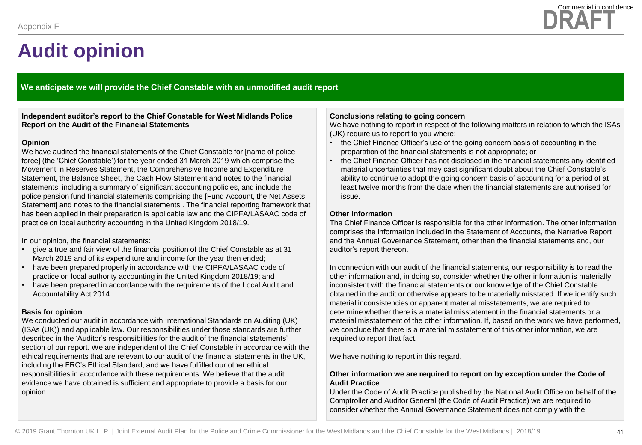

**We anticipate we will provide the Chief Constable with an unmodified audit report**

**Independent auditor's report to the Chief Constable for West Midlands Police Report on the Audit of the Financial Statements**

#### **Opinion**

We have audited the financial statements of the Chief Constable for [name of police force] (the 'Chief Constable') for the year ended 31 March 2019 which comprise the Movement in Reserves Statement, the Comprehensive Income and Expenditure Statement, the Balance Sheet, the Cash Flow Statement and notes to the financial statements, including a summary of significant accounting policies, and include the police pension fund financial statements comprising the [Fund Account, the Net Assets Statement] and notes to the financial statements . The financial reporting framework that has been applied in their preparation is applicable law and the CIPFA/LASAAC code of practice on local authority accounting in the United Kingdom 2018/19.

In our opinion, the financial statements:

- give a true and fair view of the financial position of the Chief Constable as at 31 March 2019 and of its expenditure and income for the year then ended;
- have been prepared properly in accordance with the CIPFA/LASAAC code of practice on local authority accounting in the United Kingdom 2018/19; and
- have been prepared in accordance with the requirements of the Local Audit and Accountability Act 2014.

#### **Basis for opinion**

We conducted our audit in accordance with International Standards on Auditing (UK) (ISAs (UK)) and applicable law. Our responsibilities under those standards are further described in the 'Auditor's responsibilities for the audit of the financial statements' section of our report. We are independent of the Chief Constable in accordance with the ethical requirements that are relevant to our audit of the financial statements in the UK, including the FRC's Ethical Standard, and we have fulfilled our other ethical responsibilities in accordance with these requirements. We believe that the audit evidence we have obtained is sufficient and appropriate to provide a basis for our opinion.

#### **Conclusions relating to going concern**

We have nothing to report in respect of the following matters in relation to which the ISAs (UK) require us to report to you where:

- the Chief Finance Officer's use of the going concern basis of accounting in the preparation of the financial statements is not appropriate; or
- the Chief Finance Officer has not disclosed in the financial statements any identified material uncertainties that may cast significant doubt about the Chief Constable's ability to continue to adopt the going concern basis of accounting for a period of at least twelve months from the date when the financial statements are authorised for issue.

#### **Other information**

The Chief Finance Officer is responsible for the other information. The other information comprises the information included in the Statement of Accounts, the Narrative Report and the Annual Governance Statement, other than the financial statements and, our auditor's report thereon.

In connection with our audit of the financial statements, our responsibility is to read the other information and, in doing so, consider whether the other information is materially inconsistent with the financial statements or our knowledge of the Chief Constable obtained in the audit or otherwise appears to be materially misstated. If we identify such material inconsistencies or apparent material misstatements, we are required to determine whether there is a material misstatement in the financial statements or a material misstatement of the other information. If, based on the work we have performed, we conclude that there is a material misstatement of this other information, we are required to report that fact.

We have nothing to report in this regard.

#### **Other information we are required to report on by exception under the Code of Audit Practice**

Under the Code of Audit Practice published by the National Audit Office on behalf of the Comptroller and Auditor General (the Code of Audit Practice) we are required to consider whether the Annual Governance Statement does not comply with the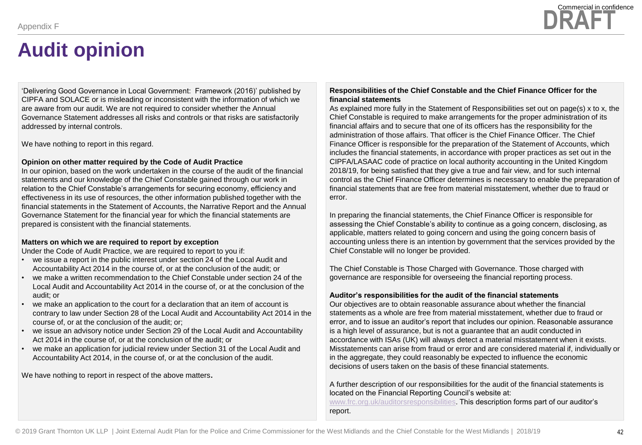'Delivering Good Governance in Local Government: Framework (2016)' published by CIPFA and SOLACE or is misleading or inconsistent with the information of which we are aware from our audit. We are not required to consider whether the Annual Governance Statement addresses all risks and controls or that risks are satisfactorily addressed by internal controls.

We have nothing to report in this regard.

#### **Opinion on other matter required by the Code of Audit Practice**

In our opinion, based on the work undertaken in the course of the audit of the financial statements and our knowledge of the Chief Constable gained through our work in relation to the Chief Constable's arrangements for securing economy, efficiency and effectiveness in its use of resources, the other information published together with the financial statements in the Statement of Accounts, the Narrative Report and the Annual Governance Statement for the financial year for which the financial statements are prepared is consistent with the financial statements.

#### **Matters on which we are required to report by exception**

Under the Code of Audit Practice, we are required to report to you if:

- we issue a report in the public interest under section 24 of the Local Audit and Accountability Act 2014 in the course of, or at the conclusion of the audit; or
- we make a written recommendation to the Chief Constable under section 24 of the Local Audit and Accountability Act 2014 in the course of, or at the conclusion of the audit; or
- we make an application to the court for a declaration that an item of account is contrary to law under Section 28 of the Local Audit and Accountability Act 2014 in the course of, or at the conclusion of the audit; or;
- we issue an advisory notice under Section 29 of the Local Audit and Accountability Act 2014 in the course of, or at the conclusion of the audit; or
- we make an application for judicial review under Section 31 of the Local Audit and Accountability Act 2014, in the course of, or at the conclusion of the audit.

We have nothing to report in respect of the above matters**.**

#### **Responsibilities of the Chief Constable and the Chief Finance Officer for the financial statements**

As explained more fully in the Statement of Responsibilities set out on page(s) x to x, the Chief Constable is required to make arrangements for the proper administration of its financial affairs and to secure that one of its officers has the responsibility for the administration of those affairs. That officer is the Chief Finance Officer. The Chief Finance Officer is responsible for the preparation of the Statement of Accounts, which includes the financial statements, in accordance with proper practices as set out in the CIPFA/LASAAC code of practice on local authority accounting in the United Kingdom 2018/19, for being satisfied that they give a true and fair view, and for such internal control as the Chief Finance Officer determines is necessary to enable the preparation of financial statements that are free from material misstatement, whether due to fraud or error.

In preparing the financial statements, the Chief Finance Officer is responsible for assessing the Chief Constable's ability to continue as a going concern, disclosing, as applicable, matters related to going concern and using the going concern basis of accounting unless there is an intention by government that the services provided by the Chief Constable will no longer be provided.

The Chief Constable is Those Charged with Governance. Those charged with governance are responsible for overseeing the financial reporting process.

#### **Auditor's responsibilities for the audit of the financial statements**

Our objectives are to obtain reasonable assurance about whether the financial statements as a whole are free from material misstatement, whether due to fraud or error, and to issue an auditor's report that includes our opinion. Reasonable assurance is a high level of assurance, but is not a guarantee that an audit conducted in accordance with ISAs (UK) will always detect a material misstatement when it exists. Misstatements can arise from fraud or error and are considered material if, individually or in the aggregate, they could reasonably be expected to influence the economic decisions of users taken on the basis of these financial statements.

A further description of our responsibilities for the audit of the financial statements is located on the Financial Reporting Council's website at:

[www.frc.org.uk/auditorsresponsibilities.](http://www.frc.org.uk/auditorsresponsibilities) This description forms part of our auditor's report.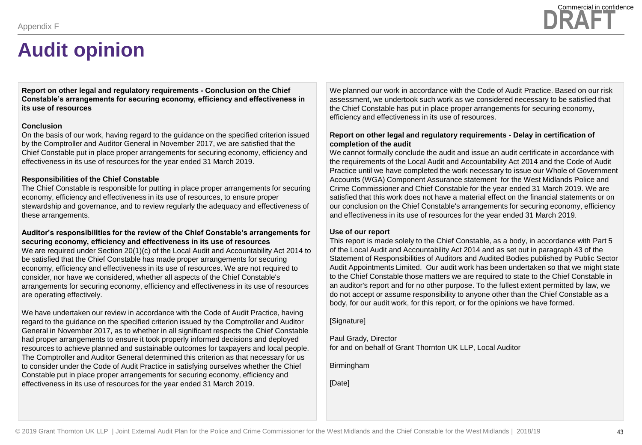**Report on other legal and regulatory requirements - Conclusion on the Chief Constable's arrangements for securing economy, efficiency and effectiveness in its use of resources**

#### **Conclusion**

On the basis of our work, having regard to the guidance on the specified criterion issued by the Comptroller and Auditor General in November 2017, we are satisfied that the Chief Constable put in place proper arrangements for securing economy, efficiency and effectiveness in its use of resources for the year ended 31 March 2019.

#### **Responsibilities of the Chief Constable**

The Chief Constable is responsible for putting in place proper arrangements for securing economy, efficiency and effectiveness in its use of resources, to ensure proper stewardship and governance, and to review regularly the adequacy and effectiveness of these arrangements.

#### **Auditor's responsibilities for the review of the Chief Constable's arrangements for securing economy, efficiency and effectiveness in its use of resources**

We are required under Section 20(1)(c) of the Local Audit and Accountability Act 2014 to be satisfied that the Chief Constable has made proper arrangements for securing economy, efficiency and effectiveness in its use of resources. We are not required to consider, nor have we considered, whether all aspects of the Chief Constable's arrangements for securing economy, efficiency and effectiveness in its use of resources are operating effectively.

We have undertaken our review in accordance with the Code of Audit Practice, having regard to the guidance on the specified criterion issued by the Comptroller and Auditor General in November 2017, as to whether in all significant respects the Chief Constable had proper arrangements to ensure it took properly informed decisions and deployed resources to achieve planned and sustainable outcomes for taxpayers and local people. The Comptroller and Auditor General determined this criterion as that necessary for us to consider under the Code of Audit Practice in satisfying ourselves whether the Chief Constable put in place proper arrangements for securing economy, efficiency and effectiveness in its use of resources for the year ended 31 March 2019.

We planned our work in accordance with the Code of Audit Practice. Based on our risk assessment, we undertook such work as we considered necessary to be satisfied that the Chief Constable has put in place proper arrangements for securing economy, efficiency and effectiveness in its use of resources.

#### **Report on other legal and regulatory requirements - Delay in certification of completion of the audit**

We cannot formally conclude the audit and issue an audit certificate in accordance with the requirements of the Local Audit and Accountability Act 2014 and the Code of Audit Practice until we have completed the work necessary to issue our Whole of Government Accounts (WGA) Component Assurance statement for the West Midlands Police and Crime Commissioner and Chief Constable for the year ended 31 March 2019. We are satisfied that this work does not have a material effect on the financial statements or on our conclusion on the Chief Constable's arrangements for securing economy, efficiency and effectiveness in its use of resources for the year ended 31 March 2019.

#### **Use of our report**

This report is made solely to the Chief Constable, as a body, in accordance with Part 5 of the Local Audit and Accountability Act 2014 and as set out in paragraph 43 of the Statement of Responsibilities of Auditors and Audited Bodies published by Public Sector Audit Appointments Limited. Our audit work has been undertaken so that we might state to the Chief Constable those matters we are required to state to the Chief Constable in an auditor's report and for no other purpose. To the fullest extent permitted by law, we do not accept or assume responsibility to anyone other than the Chief Constable as a body, for our audit work, for this report, or for the opinions we have formed.

[Signature]

Paul Grady, Director for and on behalf of Grant Thornton UK LLP, Local Auditor

Birmingham

[Date]